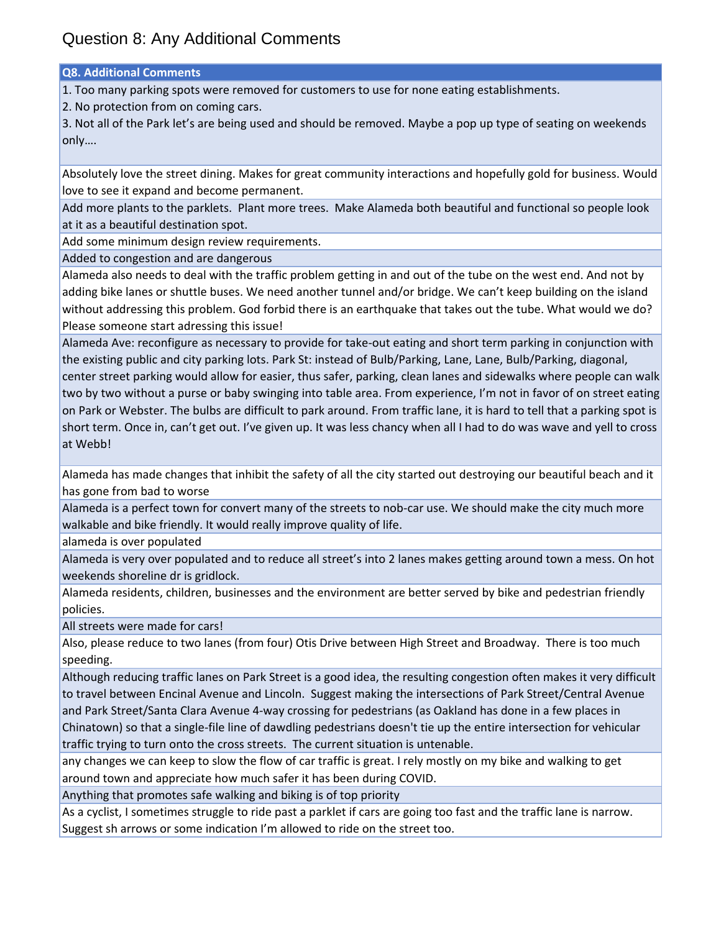**Q8. Additional Comments**

1. Too many parking spots were removed for customers to use for none eating establishments.

2. No protection from on coming cars.

3. Not all of the Park let's are being used and should be removed. Maybe a pop up type of seating on weekends only….

Absolutely love the street dining. Makes for great community interactions and hopefully gold for business. Would love to see it expand and become permanent.

Add more plants to the parklets. Plant more trees. Make Alameda both beautiful and functional so people look at it as a beautiful destination spot.

Add some minimum design review requirements.

Added to congestion and are dangerous

Alameda also needs to deal with the traffic problem getting in and out of the tube on the west end. And not by adding bike lanes or shuttle buses. We need another tunnel and/or bridge. We can't keep building on the island without addressing this problem. God forbid there is an earthquake that takes out the tube. What would we do? Please someone start adressing this issue!

Alameda Ave: reconfigure as necessary to provide for take‐out eating and short term parking in conjunction with the existing public and city parking lots. Park St: instead of Bulb/Parking, Lane, Lane, Bulb/Parking, diagonal, center street parking would allow for easier, thus safer, parking, clean lanes and sidewalks where people can walk two by two without a purse or baby swinging into table area. From experience, I'm not in favor of on street eating on Park or Webster. The bulbs are difficult to park around. From traffic lane, it is hard to tell that a parking spot is short term. Once in, can't get out. I've given up. It was less chancy when all I had to do was wave and yell to cross at Webb!

Alameda has made changes that inhibit the safety of all the city started out destroying our beautiful beach and it has gone from bad to worse

Alameda is a perfect town for convert many of the streets to nob-car use. We should make the city much more walkable and bike friendly. It would really improve quality of life.

alameda is over populated

Alameda is very over populated and to reduce all street's into 2 lanes makes getting around town a mess. On hot weekends shoreline dr is gridlock.

Alameda residents, children, businesses and the environment are better served by bike and pedestrian friendly policies.

All streets were made for cars!

Also, please reduce to two lanes (from four) Otis Drive between High Street and Broadway. There is too much speeding.

Although reducing traffic lanes on Park Street is a good idea, the resulting congestion often makes it very difficult to travel between Encinal Avenue and Lincoln. Suggest making the intersections of Park Street/Central Avenue and Park Street/Santa Clara Avenue 4‐way crossing for pedestrians (as Oakland has done in a few places in Chinatown) so that a single‐file line of dawdling pedestrians doesn't tie up the entire intersection for vehicular traffic trying to turn onto the cross streets. The current situation is untenable.

any changes we can keep to slow the flow of car traffic is great. I rely mostly on my bike and walking to get around town and appreciate how much safer it has been during COVID.

Anything that promotes safe walking and biking is of top priority

As a cyclist, I sometimes struggle to ride past a parklet if cars are going too fast and the traffic lane is narrow. Suggest sh arrows or some indication I'm allowed to ride on the street too.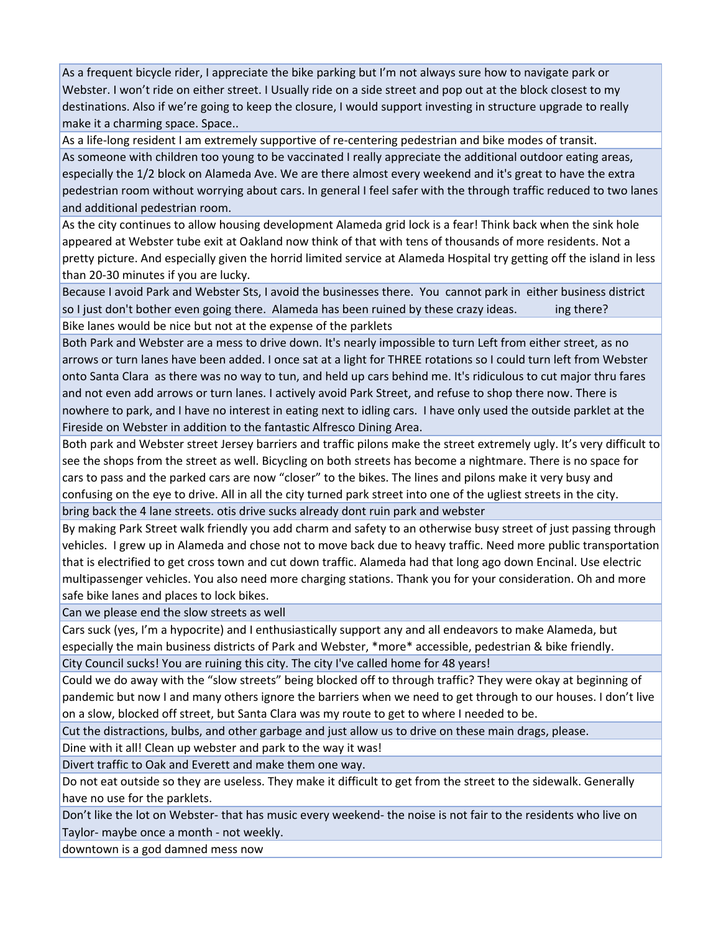As a frequent bicycle rider, I appreciate the bike parking but I'm not always sure how to navigate park or Webster. I won't ride on either street. I Usually ride on a side street and pop out at the block closest to my destinations. Also if we're going to keep the closure, I would support investing in structure upgrade to really make it a charming space. Space..

As a life‐long resident I am extremely supportive of re‐centering pedestrian and bike modes of transit. As someone with children too young to be vaccinated I really appreciate the additional outdoor eating areas, especially the 1/2 block on Alameda Ave. We are there almost every weekend and it's great to have the extra pedestrian room without worrying about cars. In general I feel safer with the through traffic reduced to two lanes and additional pedestrian room.

As the city continues to allow housing development Alameda grid lock is a fear! Think back when the sink hole appeared at Webster tube exit at Oakland now think of that with tens of thousands of more residents. Not a pretty picture. And especially given the horrid limited service at Alameda Hospital try getting off the island in less than 20‐30 minutes if you are lucky.

Because I avoid Park and Webster Sts, I avoid the businesses there. You cannot park in either business district so I just don't bother even going there. Alameda has been ruined by these crazy ideas. ing there? Bike lanes would be nice but not at the expense of the parklets

Both Park and Webster are a mess to drive down. It's nearly impossible to turn Left from either street, as no arrows or turn lanes have been added. I once sat at a light for THREE rotations so I could turn left from Webster onto Santa Clara as there was no way to tun, and held up cars behind me. It's ridiculous to cut major thru fares and not even add arrows or turn lanes. I actively avoid Park Street, and refuse to shop there now. There is nowhere to park, and I have no interest in eating next to idling cars. I have only used the outside parklet at the Fireside on Webster in addition to the fantastic Alfresco Dining Area.

Both park and Webster street Jersey barriers and traffic pilons make the street extremely ugly. It's very difficult to see the shops from the street as well. Bicycling on both streets has become a nightmare. There is no space for cars to pass and the parked cars are now "closer" to the bikes. The lines and pilons make it very busy and confusing on the eye to drive. All in all the city turned park street into one of the ugliest streets in the city. bring back the 4 lane streets. otis drive sucks already dont ruin park and webster

By making Park Street walk friendly you add charm and safety to an otherwise busy street of just passing through vehicles. I grew up in Alameda and chose not to move back due to heavy traffic. Need more public transportation that is electrified to get cross town and cut down traffic. Alameda had that long ago down Encinal. Use electric multipassenger vehicles. You also need more charging stations. Thank you for your consideration. Oh and more safe bike lanes and places to lock bikes.

Can we please end the slow streets as well

Cars suck (yes, I'm a hypocrite) and I enthusiastically support any and all endeavors to make Alameda, but especially the main business districts of Park and Webster, \*more\* accessible, pedestrian & bike friendly. City Council sucks! You are ruining this city. The city I've called home for 48 years!

Could we do away with the "slow streets" being blocked off to through traffic? They were okay at beginning of pandemic but now I and many others ignore the barriers when we need to get through to our houses. I don't live

on a slow, blocked off street, but Santa Clara was my route to get to where I needed to be.

Cut the distractions, bulbs, and other garbage and just allow us to drive on these main drags, please.

Dine with it all! Clean up webster and park to the way it was!

Divert traffic to Oak and Everett and make them one way.

Do not eat outside so they are useless. They make it difficult to get from the street to the sidewalk. Generally have no use for the parklets.

Don't like the lot on Webster- that has music every weekend- the noise is not fair to the residents who live on Taylor‐ maybe once a month ‐ not weekly.

downtown is a god damned mess now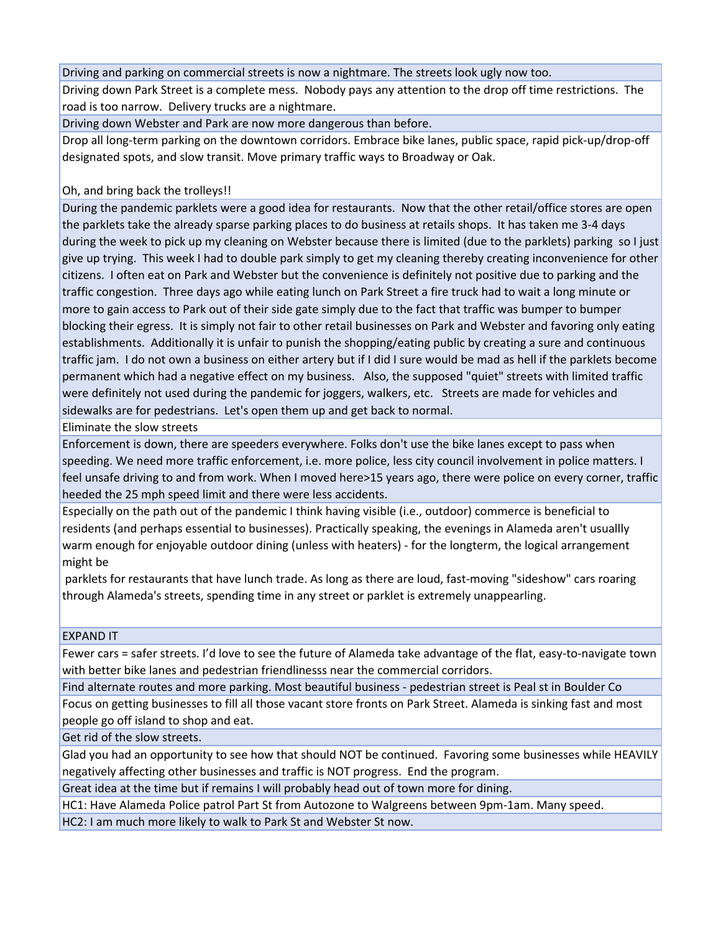Driving and parking on commercial streets is now a nightmare. The streets look ugly now too.

Driving down Park Street is a complete mess. Nobody pays any attention to the drop off time restrictions. The road is too narrow. Delivery trucks are a nightmare.

Driving down Webster and Park are now more dangerous than before.

Drop all long‐term parking on the downtown corridors. Embrace bike lanes, public space, rapid pick‐up/drop‐off designated spots, and slow transit. Move primary traffic ways to Broadway or Oak.

Oh, and bring back the trolleys!!

During the pandemic parklets were a good idea for restaurants. Now that the other retail/office stores are open the parklets take the already sparse parking places to do business at retails shops. It has taken me 3‐4 days during the week to pick up my cleaning on Webster because there is limited (due to the parklets) parking so I just give up trying. This week I had to double park simply to get my cleaning thereby creating inconvenience for other citizens. I often eat on Park and Webster but the convenience is definitely not positive due to parking and the traffic congestion. Three days ago while eating lunch on Park Street a fire truck had to wait a long minute or more to gain access to Park out of their side gate simply due to the fact that traffic was bumper to bumper blocking their egress. It is simply not fair to other retail businesses on Park and Webster and favoring only eating establishments. Additionally it is unfair to punish the shopping/eating public by creating a sure and continuous traffic jam. I do not own a business on either artery but if I did I sure would be mad as hell if the parklets become permanent which had a negative effect on my business. Also, the supposed "quiet" streets with limited traffic were definitely not used during the pandemic for joggers, walkers, etc. Streets are made for vehicles and sidewalks are for pedestrians. Let's open them up and get back to normal.

Eliminate the slow streets

Enforcement is down, there are speeders everywhere. Folks don't use the bike lanes except to pass when speeding. We need more traffic enforcement, i.e. more police, less city council involvement in police matters. I feel unsafe driving to and from work. When I moved here>15 years ago, there were police on every corner, traffic heeded the 25 mph speed limit and there were less accidents.

Especially on the path out of the pandemic I think having visible (i.e., outdoor) commerce is beneficial to residents (and perhaps essential to businesses). Practically speaking, the evenings in Alameda aren't usuallly warm enough for enjoyable outdoor dining (unless with heaters) ‐ for the longterm, the logical arrangement might be

parklets for restaurants that have lunch trade. As long as there are loud, fast-moving "sideshow" cars roaring through Alameda's streets, spending time in any street or parklet is extremely unappearling.

EXPAND IT

Fewer cars = safer streets. I'd love to see the future of Alameda take advantage of the flat, easy-to-navigate town with better bike lanes and pedestrian friendlinesss near the commercial corridors.

Find alternate routes and more parking. Most beautiful business ‐ pedestrian street is Peal st in Boulder Co Focus on getting businesses to fill all those vacant store fronts on Park Street. Alameda is sinking fast and most people go off island to shop and eat.

Get rid of the slow streets.

Glad you had an opportunity to see how that should NOT be continued. Favoring some businesses while HEAVILY negatively affecting other businesses and traffic is NOT progress. End the program.

Great idea at the time but if remains I will probably head out of town more for dining.

HC1: Have Alameda Police patrol Part St from Autozone to Walgreens between 9pm‐1am. Many speed.

HC2: I am much more likely to walk to Park St and Webster St now.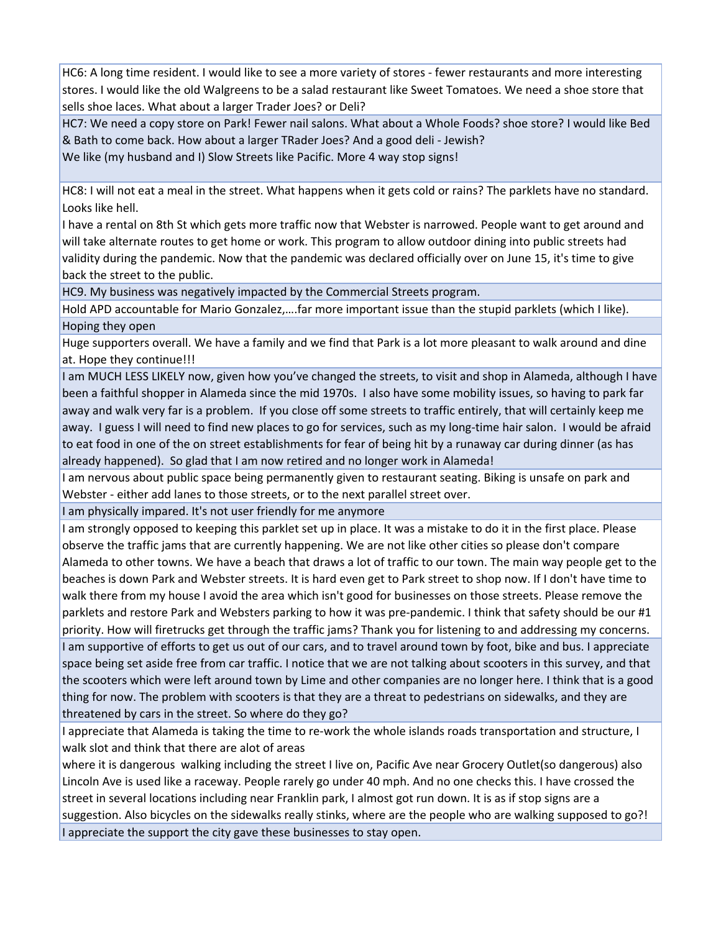HC6: A long time resident. I would like to see a more variety of stores ‐ fewer restaurants and more interesting stores. I would like the old Walgreens to be a salad restaurant like Sweet Tomatoes. We need a shoe store that sells shoe laces. What about a larger Trader Joes? or Deli?

HC7: We need a copy store on Park! Fewer nail salons. What about a Whole Foods? shoe store? I would like Bed & Bath to come back. How about a larger TRader Joes? And a good deli ‐ Jewish?

We like (my husband and I) Slow Streets like Pacific. More 4 way stop signs!

HC8: I will not eat a meal in the street. What happens when it gets cold or rains? The parklets have no standard. Looks like hell.

I have a rental on 8th St which gets more traffic now that Webster is narrowed. People want to get around and will take alternate routes to get home or work. This program to allow outdoor dining into public streets had validity during the pandemic. Now that the pandemic was declared officially over on June 15, it's time to give back the street to the public.

HC9. My business was negatively impacted by the Commercial Streets program.

Hold APD accountable for Mario Gonzalez,….far more important issue than the stupid parklets (which I like). Hoping they open

Huge supporters overall. We have a family and we find that Park is a lot more pleasant to walk around and dine at. Hope they continue!!!

I am MUCH LESS LIKELY now, given how you've changed the streets, to visit and shop in Alameda, although I have been a faithful shopper in Alameda since the mid 1970s. I also have some mobility issues, so having to park far away and walk very far is a problem. If you close off some streets to traffic entirely, that will certainly keep me away. I guess I will need to find new places to go for services, such as my long-time hair salon. I would be afraid to eat food in one of the on street establishments for fear of being hit by a runaway car during dinner (as has already happened). So glad that I am now retired and no longer work in Alameda!

I am nervous about public space being permanently given to restaurant seating. Biking is unsafe on park and Webster ‐ either add lanes to those streets, or to the next parallel street over.

I am physically impared. It's not user friendly for me anymore

I am strongly opposed to keeping this parklet set up in place. It was a mistake to do it in the first place. Please observe the traffic jams that are currently happening. We are not like other cities so please don't compare Alameda to other towns. We have a beach that draws a lot of traffic to our town. The main way people get to the beaches is down Park and Webster streets. It is hard even get to Park street to shop now. If I don't have time to walk there from my house I avoid the area which isn't good for businesses on those streets. Please remove the parklets and restore Park and Websters parking to how it was pre-pandemic. I think that safety should be our #1 priority. How will firetrucks get through the traffic jams? Thank you for listening to and addressing my concerns. I am supportive of efforts to get us out of our cars, and to travel around town by foot, bike and bus. I appreciate space being set aside free from car traffic. I notice that we are not talking about scooters in this survey, and that the scooters which were left around town by Lime and other companies are no longer here. I think that is a good thing for now. The problem with scooters is that they are a threat to pedestrians on sidewalks, and they are threatened by cars in the street. So where do they go?

I appreciate that Alameda is taking the time to re‐work the whole islands roads transportation and structure, I walk slot and think that there are alot of areas

where it is dangerous walking including the street I live on, Pacific Ave near Grocery Outlet(so dangerous) also Lincoln Ave is used like a raceway. People rarely go under 40 mph. And no one checks this. I have crossed the street in several locations including near Franklin park, I almost got run down. It is as if stop signs are a suggestion. Also bicycles on the sidewalks really stinks, where are the people who are walking supposed to go?! I appreciate the support the city gave these businesses to stay open.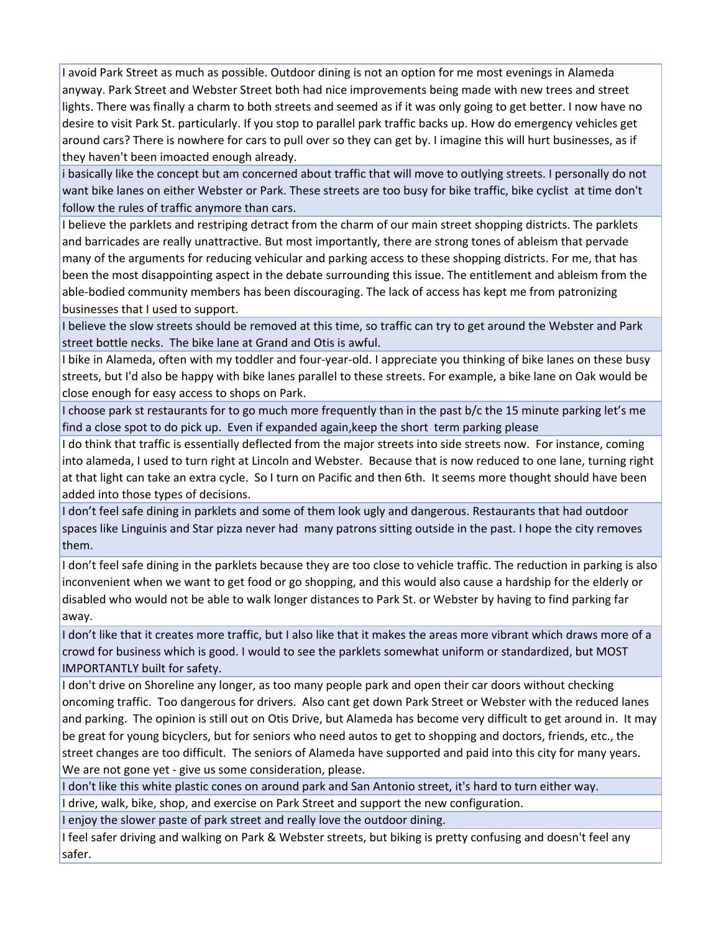I avoid Park Street as much as possible. Outdoor dining is not an option for me most evenings in Alameda anyway. Park Street and Webster Street both had nice improvements being made with new trees and street lights. There was finally a charm to both streets and seemed as if it was only going to get better. I now have no desire to visit Park St. particularly. If you stop to parallel park traffic backs up. How do emergency vehicles get around cars? There is nowhere for cars to pull over so they can get by. I imagine this will hurt businesses, as if they haven't been imoacted enough already.

i basically like the concept but am concerned about traffic that will move to outlying streets. I personally do not want bike lanes on either Webster or Park. These streets are too busy for bike traffic, bike cyclist at time don't follow the rules of traffic anymore than cars.

I believe the parklets and restriping detract from the charm of our main street shopping districts. The parklets and barricades are really unattractive. But most importantly, there are strong tones of ableism that pervade many of the arguments for reducing vehicular and parking access to these shopping districts. For me, that has been the most disappointing aspect in the debate surrounding this issue. The entitlement and ableism from the able‐bodied community members has been discouraging. The lack of access has kept me from patronizing businesses that I used to support.

I believe the slow streets should be removed at this time, so traffic can try to get around the Webster and Park street bottle necks. The bike lane at Grand and Otis is awful.

I bike in Alameda, often with my toddler and four‐year‐old. I appreciate you thinking of bike lanes on these busy streets, but I'd also be happy with bike lanes parallel to these streets. For example, a bike lane on Oak would be close enough for easy access to shops on Park.

I choose park st restaurants for to go much more frequently than in the past b/c the 15 minute parking let's me find a close spot to do pick up. Even if expanded again,keep the short term parking please

I do think that traffic is essentially deflected from the major streets into side streets now. For instance, coming into alameda, I used to turn right at Lincoln and Webster. Because that is now reduced to one lane, turning right at that light can take an extra cycle. So I turn on Pacific and then 6th. It seems more thought should have been added into those types of decisions.

I don't feel safe dining in parklets and some of them look ugly and dangerous. Restaurants that had outdoor spaces like Linguinis and Star pizza never had many patrons sitting outside in the past. I hope the city removes them.

I don't feel safe dining in the parklets because they are too close to vehicle traffic. The reduction in parking is also inconvenient when we want to get food or go shopping, and this would also cause a hardship for the elderly or disabled who would not be able to walk longer distances to Park St. or Webster by having to find parking far away.

I don't like that it creates more traffic, but I also like that it makes the areas more vibrant which draws more of a crowd for business which is good. I would to see the parklets somewhat uniform or standardized, but MOST IMPORTANTLY built for safety.

I don't drive on Shoreline any longer, as too many people park and open their car doors without checking oncoming traffic. Too dangerous for drivers. Also cant get down Park Street or Webster with the reduced lanes and parking. The opinion is still out on Otis Drive, but Alameda has become very difficult to get around in. It may be great for young bicyclers, but for seniors who need autos to get to shopping and doctors, friends, etc., the street changes are too difficult. The seniors of Alameda have supported and paid into this city for many years. We are not gone yet - give us some consideration, please.

I don't like this white plastic cones on around park and San Antonio street, it's hard to turn either way.

I drive, walk, bike, shop, and exercise on Park Street and support the new configuration.

I enjoy the slower paste of park street and really love the outdoor dining.

I feel safer driving and walking on Park & Webster streets, but biking is pretty confusing and doesn't feel any safer.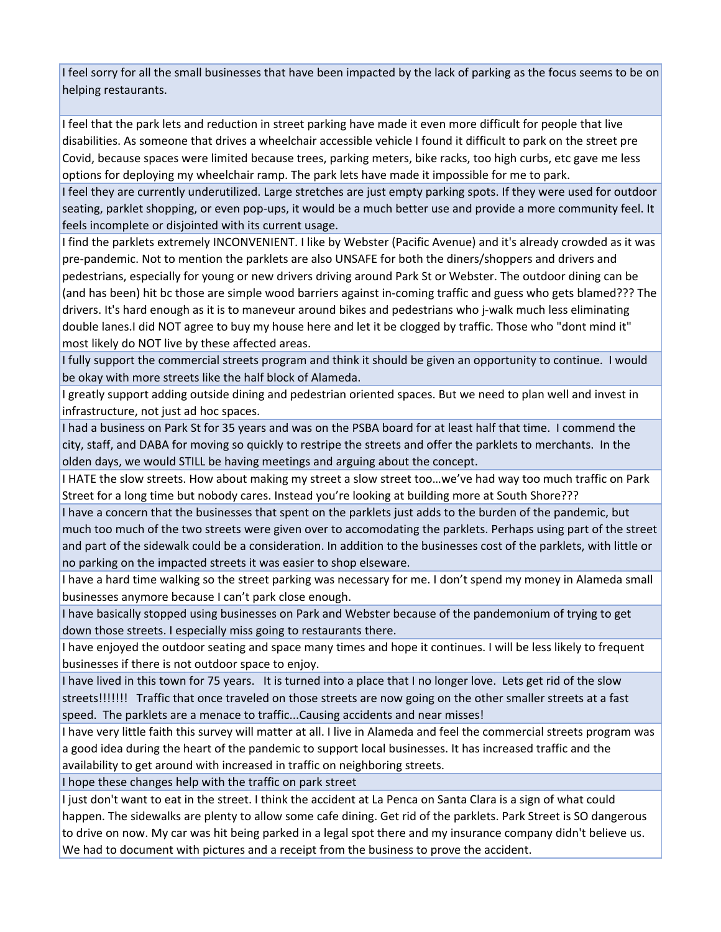I feel sorry for all the small businesses that have been impacted by the lack of parking as the focus seems to be on helping restaurants.

I feel that the park lets and reduction in street parking have made it even more difficult for people that live disabilities. As someone that drives a wheelchair accessible vehicle I found it difficult to park on the street pre Covid, because spaces were limited because trees, parking meters, bike racks, too high curbs, etc gave me less options for deploying my wheelchair ramp. The park lets have made it impossible for me to park.

I feel they are currently underutilized. Large stretches are just empty parking spots. If they were used for outdoor seating, parklet shopping, or even pop‐ups, it would be a much better use and provide a more community feel. It feels incomplete or disjointed with its current usage.

I find the parklets extremely INCONVENIENT. I like by Webster (Pacific Avenue) and it's already crowded as it was pre-pandemic. Not to mention the parklets are also UNSAFE for both the diners/shoppers and drivers and pedestrians, especially for young or new drivers driving around Park St or Webster. The outdoor dining can be (and has been) hit bc those are simple wood barriers against in‐coming traffic and guess who gets blamed??? The drivers. It's hard enough as it is to maneveur around bikes and pedestrians who j‐walk much less eliminating double lanes.I did NOT agree to buy my house here and let it be clogged by traffic. Those who "dont mind it" most likely do NOT live by these affected areas.

I fully support the commercial streets program and think it should be given an opportunity to continue. I would be okay with more streets like the half block of Alameda.

I greatly support adding outside dining and pedestrian oriented spaces. But we need to plan well and invest in infrastructure, not just ad hoc spaces.

I had a business on Park St for 35 years and was on the PSBA board for at least half that time. I commend the city, staff, and DABA for moving so quickly to restripe the streets and offer the parklets to merchants. In the olden days, we would STILL be having meetings and arguing about the concept.

I HATE the slow streets. How about making my street a slow street too…we've had way too much traffic on Park Street for a long time but nobody cares. Instead you're looking at building more at South Shore???

I have a concern that the businesses that spent on the parklets just adds to the burden of the pandemic, but much too much of the two streets were given over to accomodating the parklets. Perhaps using part of the street and part of the sidewalk could be a consideration. In addition to the businesses cost of the parklets, with little or no parking on the impacted streets it was easier to shop elseware.

I have a hard time walking so the street parking was necessary for me. I don't spend my money in Alameda small businesses anymore because I can't park close enough.

I have basically stopped using businesses on Park and Webster because of the pandemonium of trying to get down those streets. I especially miss going to restaurants there.

I have enjoyed the outdoor seating and space many times and hope it continues. I will be less likely to frequent businesses if there is not outdoor space to enjoy.

I have lived in this town for 75 years. It is turned into a place that I no longer love. Lets get rid of the slow streets!!!!!!! Traffic that once traveled on those streets are now going on the other smaller streets at a fast speed. The parklets are a menace to traffic...Causing accidents and near misses!

I have very little faith this survey will matter at all. I live in Alameda and feel the commercial streets program was a good idea during the heart of the pandemic to support local businesses. It has increased traffic and the availability to get around with increased in traffic on neighboring streets.

I hope these changes help with the traffic on park street

I just don't want to eat in the street. I think the accident at La Penca on Santa Clara is a sign of what could happen. The sidewalks are plenty to allow some cafe dining. Get rid of the parklets. Park Street is SO dangerous to drive on now. My car was hit being parked in a legal spot there and my insurance company didn't believe us. We had to document with pictures and a receipt from the business to prove the accident.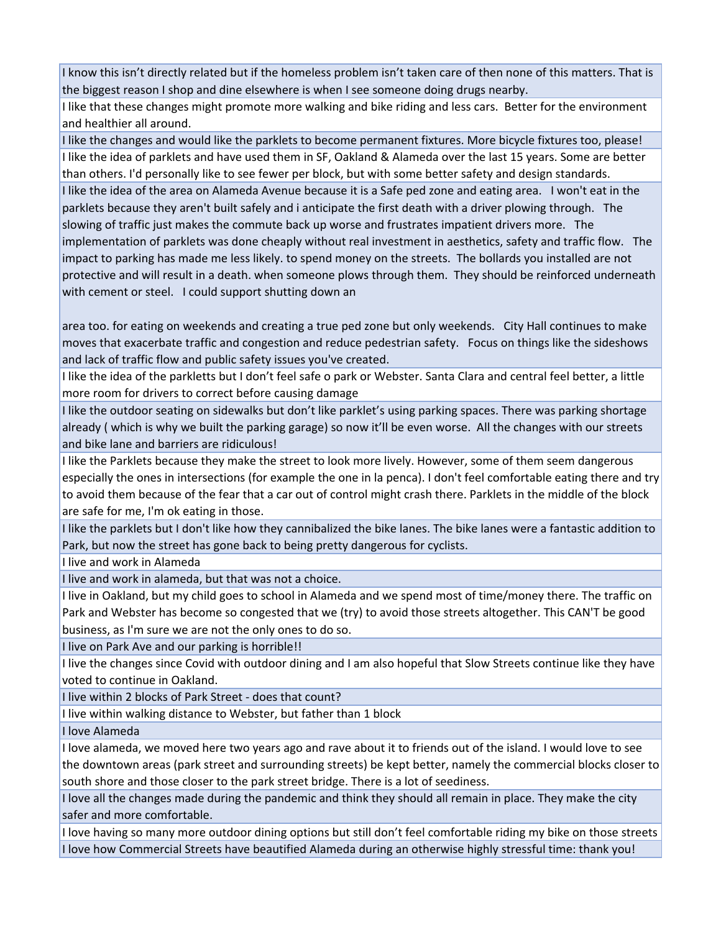I know this isn't directly related but if the homeless problem isn't taken care of then none of this matters. That is the biggest reason I shop and dine elsewhere is when I see someone doing drugs nearby.

I like that these changes might promote more walking and bike riding and less cars. Better for the environment and healthier all around.

I like the changes and would like the parklets to become permanent fixtures. More bicycle fixtures too, please! I like the idea of parklets and have used them in SF, Oakland & Alameda over the last 15 years. Some are better than others. I'd personally like to see fewer per block, but with some better safety and design standards. I like the idea of the area on Alameda Avenue because it is a Safe ped zone and eating area. I won't eat in the parklets because they aren't built safely and i anticipate the first death with a driver plowing through. The slowing of traffic just makes the commute back up worse and frustrates impatient drivers more. The implementation of parklets was done cheaply without real investment in aesthetics, safety and traffic flow. The impact to parking has made me less likely. to spend money on the streets. The bollards you installed are not protective and will result in a death. when someone plows through them. They should be reinforced underneath with cement or steel. I could support shutting down an

area too. for eating on weekends and creating a true ped zone but only weekends. City Hall continues to make moves that exacerbate traffic and congestion and reduce pedestrian safety. Focus on things like the sideshows and lack of traffic flow and public safety issues you've created.

I like the idea of the parkletts but I don't feel safe o park or Webster. Santa Clara and central feel better, a little more room for drivers to correct before causing damage

I like the outdoor seating on sidewalks but don't like parklet's using parking spaces. There was parking shortage already ( which is why we built the parking garage) so now it'll be even worse. All the changes with our streets and bike lane and barriers are ridiculous!

I like the Parklets because they make the street to look more lively. However, some of them seem dangerous especially the ones in intersections (for example the one in la penca). I don't feel comfortable eating there and try to avoid them because of the fear that a car out of control might crash there. Parklets in the middle of the block are safe for me, I'm ok eating in those.

I like the parklets but I don't like how they cannibalized the bike lanes. The bike lanes were a fantastic addition to Park, but now the street has gone back to being pretty dangerous for cyclists.

I live and work in Alameda

I live and work in alameda, but that was not a choice.

I live in Oakland, but my child goes to school in Alameda and we spend most of time/money there. The traffic on Park and Webster has become so congested that we (try) to avoid those streets altogether. This CAN'T be good business, as I'm sure we are not the only ones to do so.

I live on Park Ave and our parking is horrible!!

I live the changes since Covid with outdoor dining and I am also hopeful that Slow Streets continue like they have voted to continue in Oakland.

I live within 2 blocks of Park Street ‐ does that count?

I live within walking distance to Webster, but father than 1 block

I love Alameda

I love alameda, we moved here two years ago and rave about it to friends out of the island. I would love to see the downtown areas (park street and surrounding streets) be kept better, namely the commercial blocks closer to south shore and those closer to the park street bridge. There is a lot of seediness.

I love all the changes made during the pandemic and think they should all remain in place. They make the city safer and more comfortable.

I love having so many more outdoor dining options but still don't feel comfortable riding my bike on those streets I love how Commercial Streets have beautified Alameda during an otherwise highly stressful time: thank you!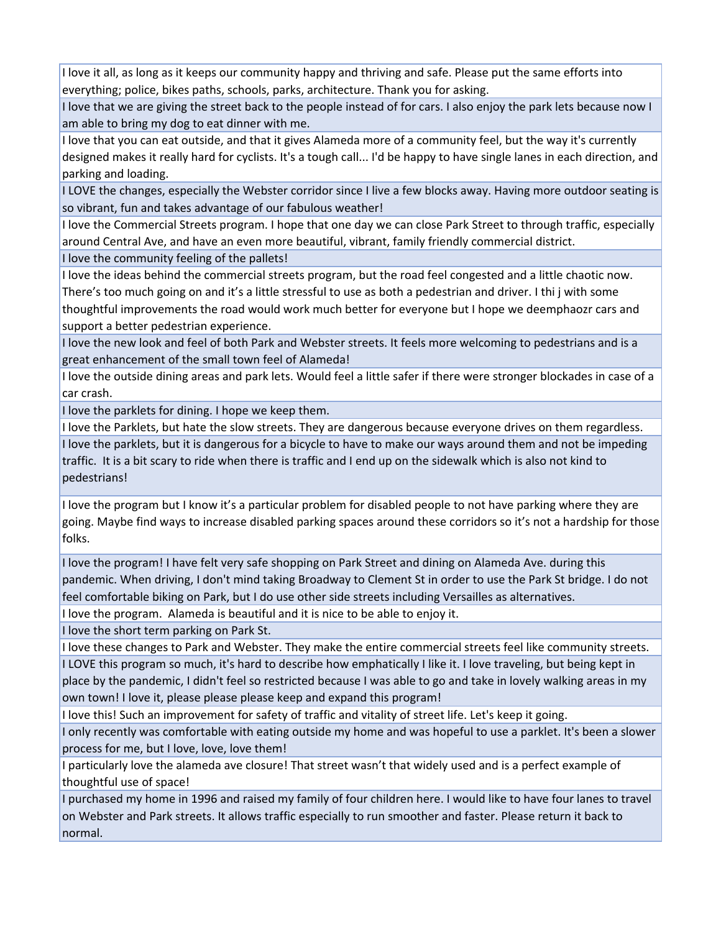I love it all, as long as it keeps our community happy and thriving and safe. Please put the same efforts into everything; police, bikes paths, schools, parks, architecture. Thank you for asking.

I love that we are giving the street back to the people instead of for cars. I also enjoy the park lets because now I am able to bring my dog to eat dinner with me.

I love that you can eat outside, and that it gives Alameda more of a community feel, but the way it's currently designed makes it really hard for cyclists. It's a tough call... I'd be happy to have single lanes in each direction, and parking and loading.

I LOVE the changes, especially the Webster corridor since I live a few blocks away. Having more outdoor seating is so vibrant, fun and takes advantage of our fabulous weather!

I love the Commercial Streets program. I hope that one day we can close Park Street to through traffic, especially around Central Ave, and have an even more beautiful, vibrant, family friendly commercial district.

I love the community feeling of the pallets!

I love the ideas behind the commercial streets program, but the road feel congested and a little chaotic now. There's too much going on and it's a little stressful to use as both a pedestrian and driver. I thi j with some thoughtful improvements the road would work much better for everyone but I hope we deemphaozr cars and support a better pedestrian experience.

I love the new look and feel of both Park and Webster streets. It feels more welcoming to pedestrians and is a great enhancement of the small town feel of Alameda!

I love the outside dining areas and park lets. Would feel a little safer if there were stronger blockades in case of a car crash.

I love the parklets for dining. I hope we keep them.

I love the Parklets, but hate the slow streets. They are dangerous because everyone drives on them regardless. I love the parklets, but it is dangerous for a bicycle to have to make our ways around them and not be impeding traffic. It is a bit scary to ride when there is traffic and I end up on the sidewalk which is also not kind to

pedestrians!

I love the program but I know it's a particular problem for disabled people to not have parking where they are going. Maybe find ways to increase disabled parking spaces around these corridors so it's not a hardship for those folks.

I love the program! I have felt very safe shopping on Park Street and dining on Alameda Ave. during this pandemic. When driving, I don't mind taking Broadway to Clement St in order to use the Park St bridge. I do not feel comfortable biking on Park, but I do use other side streets including Versailles as alternatives.

I love the program. Alameda is beautiful and it is nice to be able to enjoy it.

I love the short term parking on Park St.

I love these changes to Park and Webster. They make the entire commercial streets feel like community streets. I LOVE this program so much, it's hard to describe how emphatically I like it. I love traveling, but being kept in place by the pandemic, I didn't feel so restricted because I was able to go and take in lovely walking areas in my own town! I love it, please please please keep and expand this program!

I love this! Such an improvement for safety of traffic and vitality of street life. Let's keep it going.

I only recently was comfortable with eating outside my home and was hopeful to use a parklet. It's been a slower process for me, but I love, love, love them!

I particularly love the alameda ave closure! That street wasn't that widely used and is a perfect example of thoughtful use of space!

I purchased my home in 1996 and raised my family of four children here. I would like to have four lanes to travel on Webster and Park streets. It allows traffic especially to run smoother and faster. Please return it back to normal.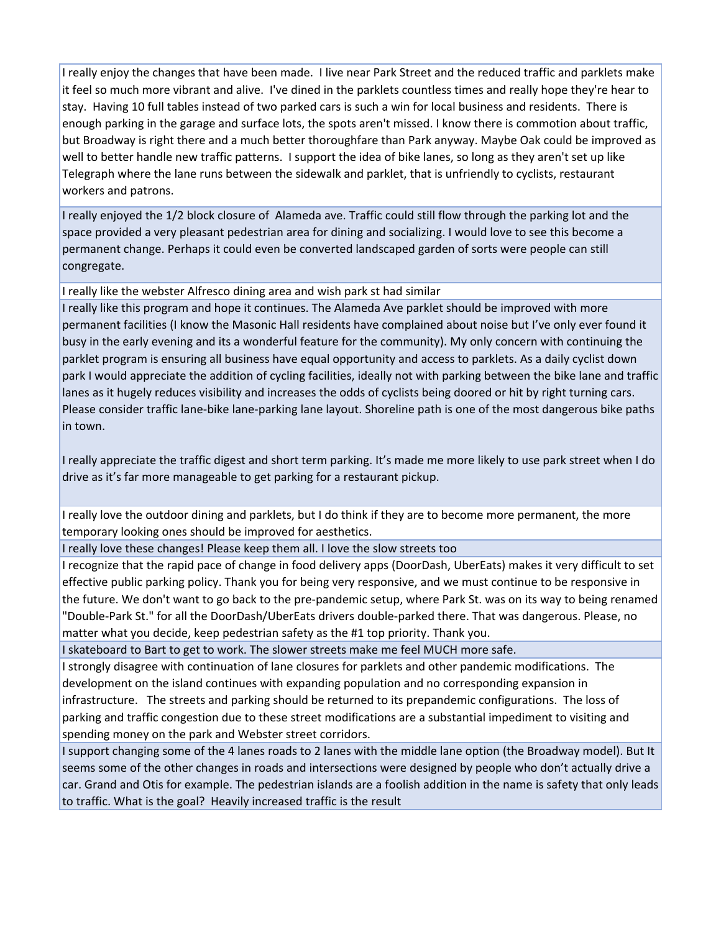I really enjoy the changes that have been made. I live near Park Street and the reduced traffic and parklets make it feel so much more vibrant and alive. I've dined in the parklets countless times and really hope they're hear to stay. Having 10 full tables instead of two parked cars is such a win for local business and residents. There is enough parking in the garage and surface lots, the spots aren't missed. I know there is commotion about traffic, but Broadway is right there and a much better thoroughfare than Park anyway. Maybe Oak could be improved as well to better handle new traffic patterns. I support the idea of bike lanes, so long as they aren't set up like Telegraph where the lane runs between the sidewalk and parklet, that is unfriendly to cyclists, restaurant workers and patrons.

I really enjoyed the 1/2 block closure of Alameda ave. Traffic could still flow through the parking lot and the space provided a very pleasant pedestrian area for dining and socializing. I would love to see this become a permanent change. Perhaps it could even be converted landscaped garden of sorts were people can still congregate.

I really like the webster Alfresco dining area and wish park st had similar

I really like this program and hope it continues. The Alameda Ave parklet should be improved with more permanent facilities (I know the Masonic Hall residents have complained about noise but I've only ever found it busy in the early evening and its a wonderful feature for the community). My only concern with continuing the parklet program is ensuring all business have equal opportunity and access to parklets. As a daily cyclist down park I would appreciate the addition of cycling facilities, ideally not with parking between the bike lane and traffic lanes as it hugely reduces visibility and increases the odds of cyclists being doored or hit by right turning cars. Please consider traffic lane‐bike lane‐parking lane layout. Shoreline path is one of the most dangerous bike paths in town.

I really appreciate the traffic digest and short term parking. It's made me more likely to use park street when I do drive as it's far more manageable to get parking for a restaurant pickup.

I really love the outdoor dining and parklets, but I do think if they are to become more permanent, the more temporary looking ones should be improved for aesthetics.

I really love these changes! Please keep them all. I love the slow streets too

I recognize that the rapid pace of change in food delivery apps (DoorDash, UberEats) makes it very difficult to set effective public parking policy. Thank you for being very responsive, and we must continue to be responsive in the future. We don't want to go back to the pre‐pandemic setup, where Park St. was on its way to being renamed "Double‐Park St." for all the DoorDash/UberEats drivers double‐parked there. That was dangerous. Please, no matter what you decide, keep pedestrian safety as the #1 top priority. Thank you.

I skateboard to Bart to get to work. The slower streets make me feel MUCH more safe.

I strongly disagree with continuation of lane closures for parklets and other pandemic modifications. The development on the island continues with expanding population and no corresponding expansion in infrastructure. The streets and parking should be returned to its prepandemic configurations. The loss of parking and traffic congestion due to these street modifications are a substantial impediment to visiting and spending money on the park and Webster street corridors.

I support changing some of the 4 lanes roads to 2 lanes with the middle lane option (the Broadway model). But It seems some of the other changes in roads and intersections were designed by people who don't actually drive a car. Grand and Otis for example. The pedestrian islands are a foolish addition in the name is safety that only leads to traffic. What is the goal? Heavily increased traffic is the result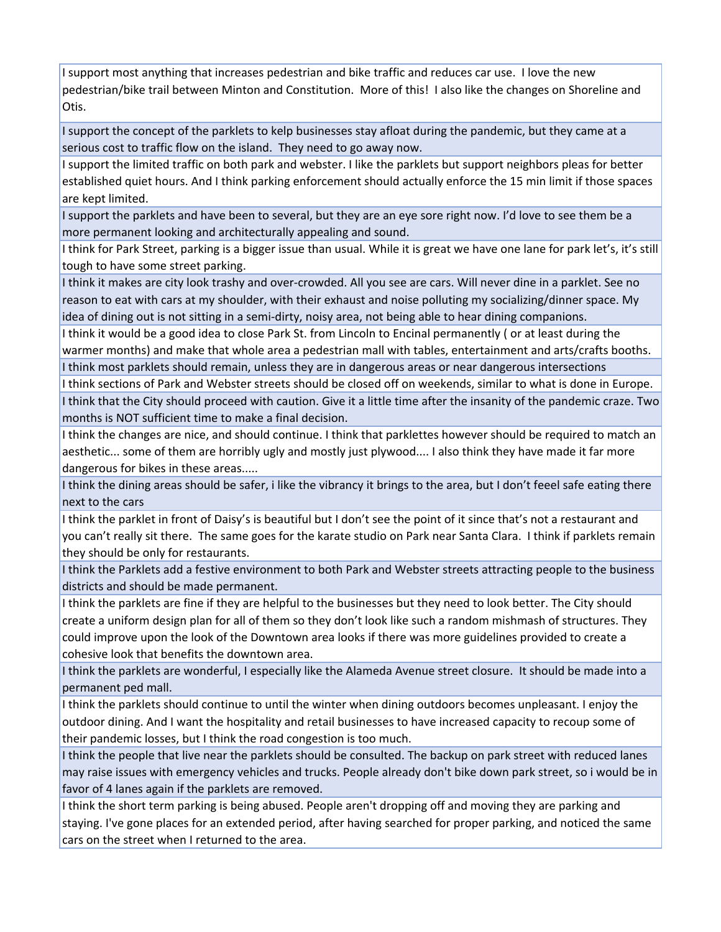I support most anything that increases pedestrian and bike traffic and reduces car use. I love the new pedestrian/bike trail between Minton and Constitution. More of this! I also like the changes on Shoreline and Otis.

I support the concept of the parklets to kelp businesses stay afloat during the pandemic, but they came at a serious cost to traffic flow on the island. They need to go away now.

I support the limited traffic on both park and webster. I like the parklets but support neighbors pleas for better established quiet hours. And I think parking enforcement should actually enforce the 15 min limit if those spaces are kept limited.

I support the parklets and have been to several, but they are an eye sore right now. I'd love to see them be a more permanent looking and architecturally appealing and sound.

I think for Park Street, parking is a bigger issue than usual. While it is great we have one lane for park let's, it's still tough to have some street parking.

I think it makes are city look trashy and over‐crowded. All you see are cars. Will never dine in a parklet. See no reason to eat with cars at my shoulder, with their exhaust and noise polluting my socializing/dinner space. My idea of dining out is not sitting in a semi-dirty, noisy area, not being able to hear dining companions.

I think it would be a good idea to close Park St. from Lincoln to Encinal permanently ( or at least during the warmer months) and make that whole area a pedestrian mall with tables, entertainment and arts/crafts booths. I think most parklets should remain, unless they are in dangerous areas or near dangerous intersections

I think sections of Park and Webster streets should be closed off on weekends, similar to what is done in Europe. I think that the City should proceed with caution. Give it a little time after the insanity of the pandemic craze. Two months is NOT sufficient time to make a final decision.

I think the changes are nice, and should continue. I think that parklettes however should be required to match an aesthetic... some of them are horribly ugly and mostly just plywood.... I also think they have made it far more dangerous for bikes in these areas.....

I think the dining areas should be safer, i like the vibrancy it brings to the area, but I don't feeel safe eating there next to the cars

I think the parklet in front of Daisy's is beautiful but I don't see the point of it since that's not a restaurant and you can't really sit there. The same goes for the karate studio on Park near Santa Clara. I think if parklets remain they should be only for restaurants.

I think the Parklets add a festive environment to both Park and Webster streets attracting people to the business districts and should be made permanent.

I think the parklets are fine if they are helpful to the businesses but they need to look better. The City should create a uniform design plan for all of them so they don't look like such a random mishmash of structures. They could improve upon the look of the Downtown area looks if there was more guidelines provided to create a cohesive look that benefits the downtown area.

I think the parklets are wonderful, I especially like the Alameda Avenue street closure. It should be made into a permanent ped mall.

I think the parklets should continue to until the winter when dining outdoors becomes unpleasant. I enjoy the outdoor dining. And I want the hospitality and retail businesses to have increased capacity to recoup some of their pandemic losses, but I think the road congestion is too much.

I think the people that live near the parklets should be consulted. The backup on park street with reduced lanes may raise issues with emergency vehicles and trucks. People already don't bike down park street, so i would be in favor of 4 lanes again if the parklets are removed.

I think the short term parking is being abused. People aren't dropping off and moving they are parking and staying. I've gone places for an extended period, after having searched for proper parking, and noticed the same cars on the street when I returned to the area.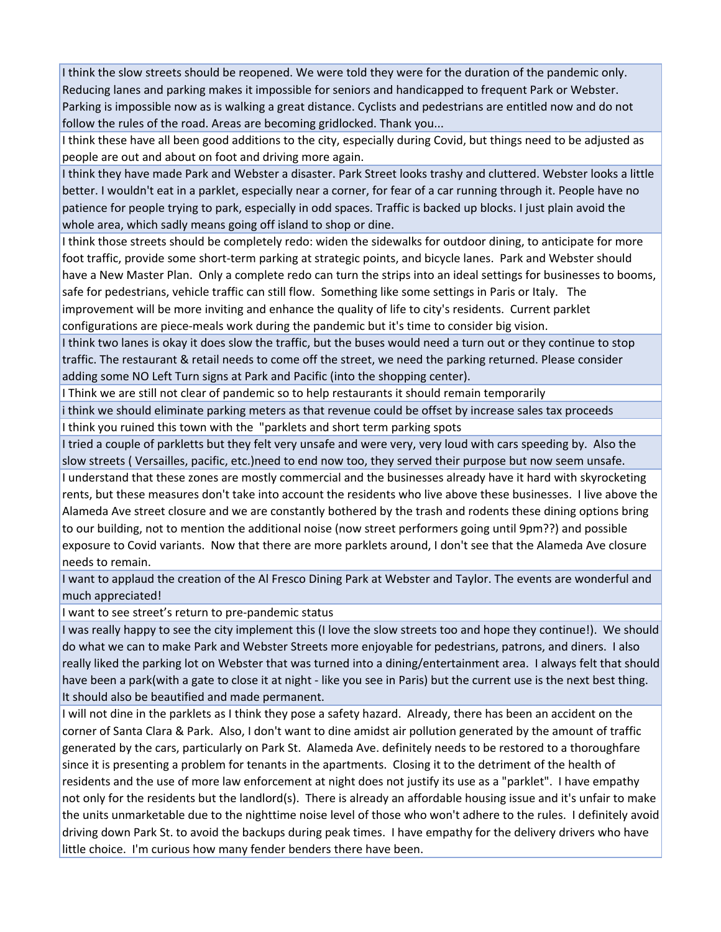I think the slow streets should be reopened. We were told they were for the duration of the pandemic only. Reducing lanes and parking makes it impossible for seniors and handicapped to frequent Park or Webster. Parking is impossible now as is walking a great distance. Cyclists and pedestrians are entitled now and do not follow the rules of the road. Areas are becoming gridlocked. Thank you...

I think these have all been good additions to the city, especially during Covid, but things need to be adjusted as people are out and about on foot and driving more again.

I think they have made Park and Webster a disaster. Park Street looks trashy and cluttered. Webster looks a little better. I wouldn't eat in a parklet, especially near a corner, for fear of a car running through it. People have no patience for people trying to park, especially in odd spaces. Traffic is backed up blocks. I just plain avoid the whole area, which sadly means going off island to shop or dine.

I think those streets should be completely redo: widen the sidewalks for outdoor dining, to anticipate for more foot traffic, provide some short‐term parking at strategic points, and bicycle lanes. Park and Webster should have a New Master Plan. Only a complete redo can turn the strips into an ideal settings for businesses to booms, safe for pedestrians, vehicle traffic can still flow. Something like some settings in Paris or Italy. The improvement will be more inviting and enhance the quality of life to city's residents. Current parklet configurations are piece‐meals work during the pandemic but it's time to consider big vision.

I think two lanes is okay it does slow the traffic, but the buses would need a turn out or they continue to stop traffic. The restaurant & retail needs to come off the street, we need the parking returned. Please consider adding some NO Left Turn signs at Park and Pacific (into the shopping center).

I Think we are still not clear of pandemic so to help restaurants it should remain temporarily

i think we should eliminate parking meters as that revenue could be offset by increase sales tax proceeds I think you ruined this town with the "parklets and short term parking spots

I tried a couple of parkletts but they felt very unsafe and were very, very loud with cars speeding by. Also the slow streets ( Versailles, pacific, etc.)need to end now too, they served their purpose but now seem unsafe.

I understand that these zones are mostly commercial and the businesses already have it hard with skyrocketing rents, but these measures don't take into account the residents who live above these businesses. I live above the Alameda Ave street closure and we are constantly bothered by the trash and rodents these dining options bring to our building, not to mention the additional noise (now street performers going until 9pm??) and possible exposure to Covid variants. Now that there are more parklets around, I don't see that the Alameda Ave closure needs to remain.

I want to applaud the creation of the Al Fresco Dining Park at Webster and Taylor. The events are wonderful and much appreciated!

I want to see street's return to pre‐pandemic status

I was really happy to see the city implement this (I love the slow streets too and hope they continue!). We should do what we can to make Park and Webster Streets more enjoyable for pedestrians, patrons, and diners. I also really liked the parking lot on Webster that was turned into a dining/entertainment area. I always felt that should have been a park(with a gate to close it at night - like you see in Paris) but the current use is the next best thing. It should also be beautified and made permanent.

I will not dine in the parklets as I think they pose a safety hazard. Already, there has been an accident on the corner of Santa Clara & Park. Also, I don't want to dine amidst air pollution generated by the amount of traffic generated by the cars, particularly on Park St. Alameda Ave. definitely needs to be restored to a thoroughfare since it is presenting a problem for tenants in the apartments. Closing it to the detriment of the health of residents and the use of more law enforcement at night does not justify its use as a "parklet". I have empathy not only for the residents but the landlord(s). There is already an affordable housing issue and it's unfair to make the units unmarketable due to the nighttime noise level of those who won't adhere to the rules. I definitely avoid driving down Park St. to avoid the backups during peak times. I have empathy for the delivery drivers who have little choice. I'm curious how many fender benders there have been.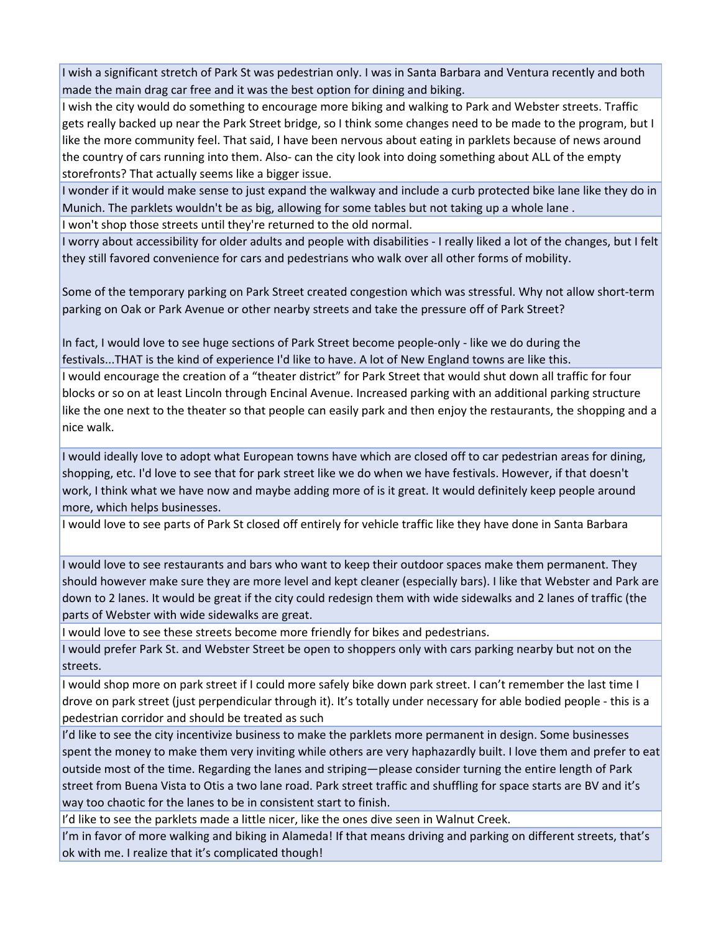I wish a significant stretch of Park St was pedestrian only. I was in Santa Barbara and Ventura recently and both made the main drag car free and it was the best option for dining and biking.

I wish the city would do something to encourage more biking and walking to Park and Webster streets. Traffic gets really backed up near the Park Street bridge, so I think some changes need to be made to the program, but I like the more community feel. That said, I have been nervous about eating in parklets because of news around the country of cars running into them. Also‐ can the city look into doing something about ALL of the empty storefronts? That actually seems like a bigger issue.

I wonder if it would make sense to just expand the walkway and include a curb protected bike lane like they do in Munich. The parklets wouldn't be as big, allowing for some tables but not taking up a whole lane .

I won't shop those streets until they're returned to the old normal.

I worry about accessibility for older adults and people with disabilities ‐ I really liked a lot of the changes, but I felt they still favored convenience for cars and pedestrians who walk over all other forms of mobility.

Some of the temporary parking on Park Street created congestion which was stressful. Why not allow short‐term parking on Oak or Park Avenue or other nearby streets and take the pressure off of Park Street?

In fact, I would love to see huge sections of Park Street become people‐only ‐ like we do during the festivals...THAT is the kind of experience I'd like to have. A lot of New England towns are like this. I would encourage the creation of a "theater district" for Park Street that would shut down all traffic for four blocks or so on at least Lincoln through Encinal Avenue. Increased parking with an additional parking structure like the one next to the theater so that people can easily park and then enjoy the restaurants, the shopping and a nice walk.

I would ideally love to adopt what European towns have which are closed off to car pedestrian areas for dining, shopping, etc. I'd love to see that for park street like we do when we have festivals. However, if that doesn't work, I think what we have now and maybe adding more of is it great. It would definitely keep people around more, which helps businesses.

I would love to see parts of Park St closed off entirely for vehicle traffic like they have done in Santa Barbara

I would love to see restaurants and bars who want to keep their outdoor spaces make them permanent. They should however make sure they are more level and kept cleaner (especially bars). I like that Webster and Park are down to 2 lanes. It would be great if the city could redesign them with wide sidewalks and 2 lanes of traffic (the parts of Webster with wide sidewalks are great.

I would love to see these streets become more friendly for bikes and pedestrians.

I would prefer Park St. and Webster Street be open to shoppers only with cars parking nearby but not on the streets.

I would shop more on park street if I could more safely bike down park street. I can't remember the last time I drove on park street (just perpendicular through it). It's totally under necessary for able bodied people ‐ this is a pedestrian corridor and should be treated as such

I'd like to see the city incentivize business to make the parklets more permanent in design. Some businesses spent the money to make them very inviting while others are very haphazardly built. I love them and prefer to eat outside most of the time. Regarding the lanes and striping—please consider turning the entire length of Park street from Buena Vista to Otis a two lane road. Park street traffic and shuffling for space starts are BV and it's way too chaotic for the lanes to be in consistent start to finish.

I'd like to see the parklets made a little nicer, like the ones dive seen in Walnut Creek.

I'm in favor of more walking and biking in Alameda! If that means driving and parking on different streets, that's ok with me. I realize that it's complicated though!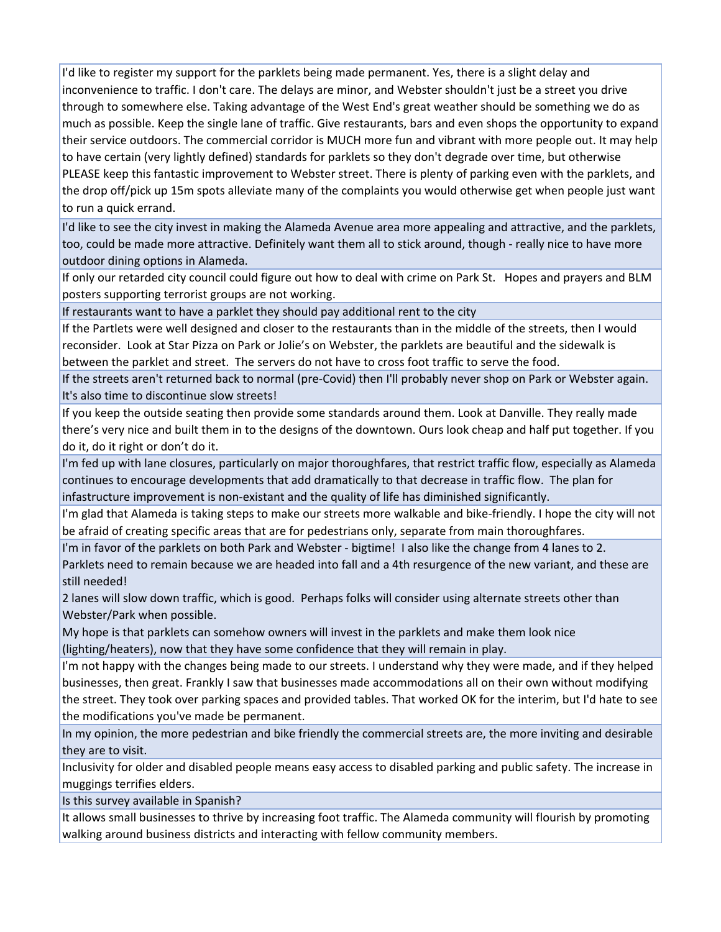I'd like to register my support for the parklets being made permanent. Yes, there is a slight delay and inconvenience to traffic. I don't care. The delays are minor, and Webster shouldn't just be a street you drive through to somewhere else. Taking advantage of the West End's great weather should be something we do as much as possible. Keep the single lane of traffic. Give restaurants, bars and even shops the opportunity to expand their service outdoors. The commercial corridor is MUCH more fun and vibrant with more people out. It may help to have certain (very lightly defined) standards for parklets so they don't degrade over time, but otherwise PLEASE keep this fantastic improvement to Webster street. There is plenty of parking even with the parklets, and the drop off/pick up 15m spots alleviate many of the complaints you would otherwise get when people just want to run a quick errand.

I'd like to see the city invest in making the Alameda Avenue area more appealing and attractive, and the parklets, too, could be made more attractive. Definitely want them all to stick around, though ‐ really nice to have more outdoor dining options in Alameda.

If only our retarded city council could figure out how to deal with crime on Park St. Hopes and prayers and BLM posters supporting terrorist groups are not working.

If restaurants want to have a parklet they should pay additional rent to the city

If the Partlets were well designed and closer to the restaurants than in the middle of the streets, then I would reconsider. Look at Star Pizza on Park or Jolie's on Webster, the parklets are beautiful and the sidewalk is between the parklet and street. The servers do not have to cross foot traffic to serve the food.

If the streets aren't returned back to normal (pre‐Covid) then I'll probably never shop on Park or Webster again. It's also time to discontinue slow streets!

If you keep the outside seating then provide some standards around them. Look at Danville. They really made there's very nice and built them in to the designs of the downtown. Ours look cheap and half put together. If you do it, do it right or don't do it.

I'm fed up with lane closures, particularly on major thoroughfares, that restrict traffic flow, especially as Alameda continues to encourage developments that add dramatically to that decrease in traffic flow. The plan for infastructure improvement is non‐existant and the quality of life has diminished significantly.

I'm glad that Alameda is taking steps to make our streets more walkable and bike‐friendly. I hope the city will not be afraid of creating specific areas that are for pedestrians only, separate from main thoroughfares.

I'm in favor of the parklets on both Park and Webster ‐ bigtime! I also like the change from 4 lanes to 2. Parklets need to remain because we are headed into fall and a 4th resurgence of the new variant, and these are still needed!

2 lanes will slow down traffic, which is good. Perhaps folks will consider using alternate streets other than Webster/Park when possible.

My hope is that parklets can somehow owners will invest in the parklets and make them look nice (lighting/heaters), now that they have some confidence that they will remain in play.

I'm not happy with the changes being made to our streets. I understand why they were made, and if they helped businesses, then great. Frankly I saw that businesses made accommodations all on their own without modifying the street. They took over parking spaces and provided tables. That worked OK for the interim, but I'd hate to see the modifications you've made be permanent.

In my opinion, the more pedestrian and bike friendly the commercial streets are, the more inviting and desirable they are to visit.

Inclusivity for older and disabled people means easy access to disabled parking and public safety. The increase in muggings terrifies elders.

Is this survey available in Spanish?

It allows small businesses to thrive by increasing foot traffic. The Alameda community will flourish by promoting walking around business districts and interacting with fellow community members.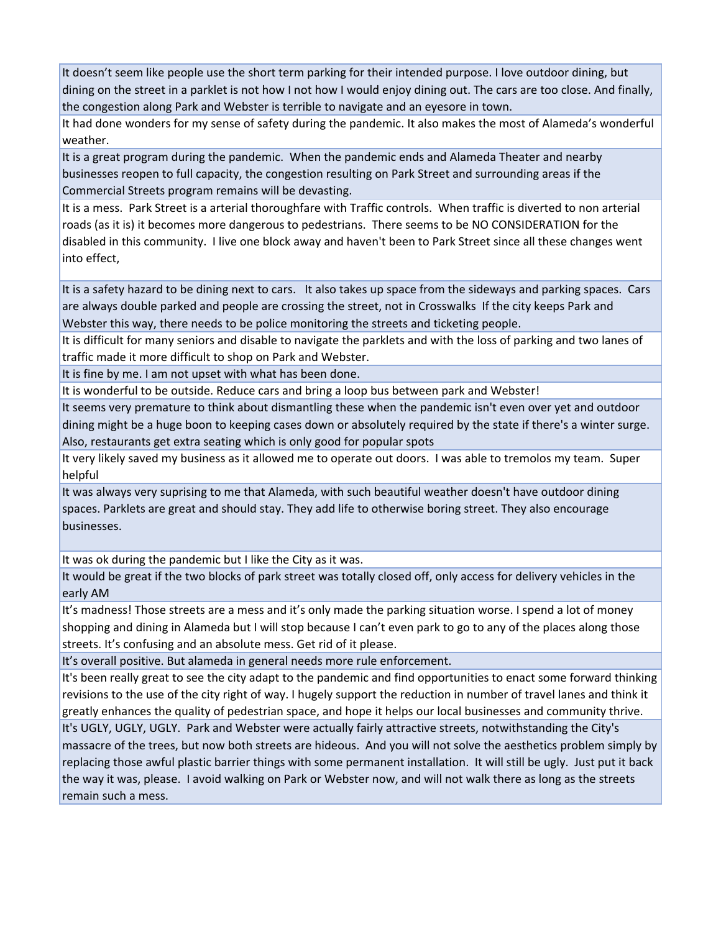It doesn't seem like people use the short term parking for their intended purpose. I love outdoor dining, but dining on the street in a parklet is not how I not how I would enjoy dining out. The cars are too close. And finally, the congestion along Park and Webster is terrible to navigate and an eyesore in town.

It had done wonders for my sense of safety during the pandemic. It also makes the most of Alameda's wonderful weather.

It is a great program during the pandemic. When the pandemic ends and Alameda Theater and nearby businesses reopen to full capacity, the congestion resulting on Park Street and surrounding areas if the Commercial Streets program remains will be devasting.

It is a mess. Park Street is a arterial thoroughfare with Traffic controls. When traffic is diverted to non arterial roads (as it is) it becomes more dangerous to pedestrians. There seems to be NO CONSIDERATION for the disabled in this community. I live one block away and haven't been to Park Street since all these changes went into effect,

It is a safety hazard to be dining next to cars. It also takes up space from the sideways and parking spaces. Cars are always double parked and people are crossing the street, not in Crosswalks If the city keeps Park and Webster this way, there needs to be police monitoring the streets and ticketing people.

It is difficult for many seniors and disable to navigate the parklets and with the loss of parking and two lanes of traffic made it more difficult to shop on Park and Webster.

It is fine by me. I am not upset with what has been done.

It is wonderful to be outside. Reduce cars and bring a loop bus between park and Webster!

It seems very premature to think about dismantling these when the pandemic isn't even over yet and outdoor dining might be a huge boon to keeping cases down or absolutely required by the state if there's a winter surge. Also, restaurants get extra seating which is only good for popular spots

It very likely saved my business as it allowed me to operate out doors. I was able to tremolos my team. Super helpful

It was always very suprising to me that Alameda, with such beautiful weather doesn't have outdoor dining spaces. Parklets are great and should stay. They add life to otherwise boring street. They also encourage businesses.

It was ok during the pandemic but I like the City as it was.

It would be great if the two blocks of park street was totally closed off, only access for delivery vehicles in the early AM

It's madness! Those streets are a mess and it's only made the parking situation worse. I spend a lot of money shopping and dining in Alameda but I will stop because I can't even park to go to any of the places along those streets. It's confusing and an absolute mess. Get rid of it please.

It's overall positive. But alameda in general needs more rule enforcement.

It's been really great to see the city adapt to the pandemic and find opportunities to enact some forward thinking revisions to the use of the city right of way. I hugely support the reduction in number of travel lanes and think it greatly enhances the quality of pedestrian space, and hope it helps our local businesses and community thrive.

It's UGLY, UGLY, UGLY. Park and Webster were actually fairly attractive streets, notwithstanding the City's massacre of the trees, but now both streets are hideous. And you will not solve the aesthetics problem simply by replacing those awful plastic barrier things with some permanent installation. It will still be ugly. Just put it back the way it was, please. I avoid walking on Park or Webster now, and will not walk there as long as the streets remain such a mess.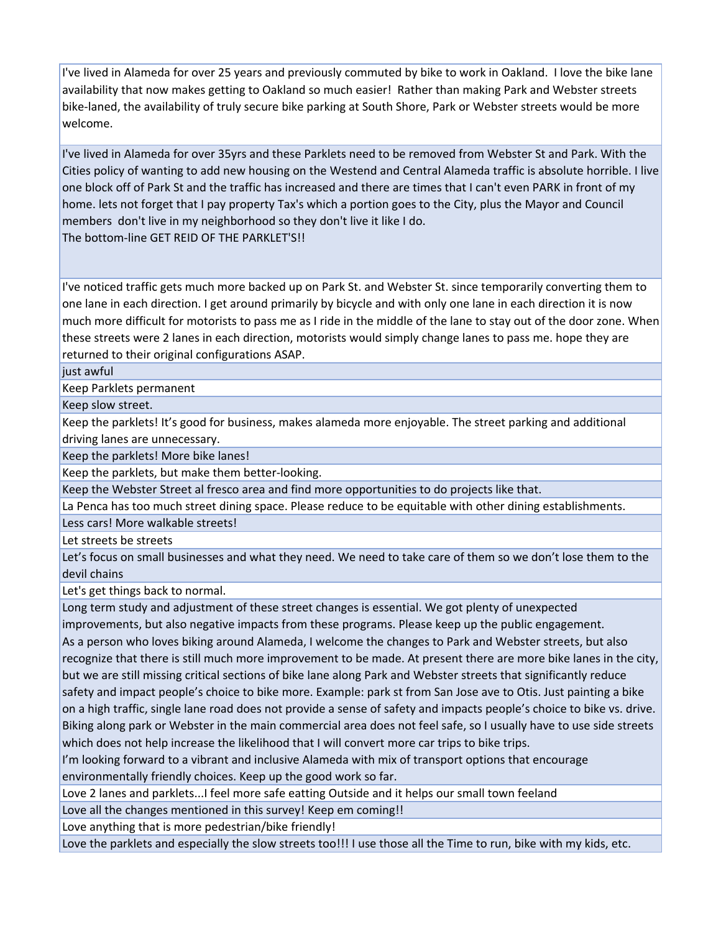I've lived in Alameda for over 25 years and previously commuted by bike to work in Oakland. I love the bike lane availability that now makes getting to Oakland so much easier! Rather than making Park and Webster streets bike‐laned, the availability of truly secure bike parking at South Shore, Park or Webster streets would be more welcome.

I've lived in Alameda for over 35yrs and these Parklets need to be removed from Webster St and Park. With the Cities policy of wanting to add new housing on the Westend and Central Alameda traffic is absolute horrible. I live one block off of Park St and the traffic has increased and there are times that I can't even PARK in front of my home. lets not forget that I pay property Tax's which a portion goes to the City, plus the Mayor and Council members don't live in my neighborhood so they don't live it like I do. The bottom‐line GET REID OF THE PARKLET'S!!

I've noticed traffic gets much more backed up on Park St. and Webster St. since temporarily converting them to one lane in each direction. I get around primarily by bicycle and with only one lane in each direction it is now much more difficult for motorists to pass me as I ride in the middle of the lane to stay out of the door zone. When these streets were 2 lanes in each direction, motorists would simply change lanes to pass me. hope they are returned to their original configurations ASAP.

just awful

Keep Parklets permanent

Keep slow street.

Keep the parklets! It's good for business, makes alameda more enjoyable. The street parking and additional driving lanes are unnecessary.

Keep the parklets! More bike lanes!

Keep the parklets, but make them better‐looking.

Keep the Webster Street al fresco area and find more opportunities to do projects like that.

La Penca has too much street dining space. Please reduce to be equitable with other dining establishments.

Less cars! More walkable streets!

Let streets be streets

Let's focus on small businesses and what they need. We need to take care of them so we don't lose them to the devil chains

Let's get things back to normal.

Long term study and adjustment of these street changes is essential. We got plenty of unexpected improvements, but also negative impacts from these programs. Please keep up the public engagement.

As a person who loves biking around Alameda, I welcome the changes to Park and Webster streets, but also recognize that there is still much more improvement to be made. At present there are more bike lanes in the city, but we are still missing critical sections of bike lane along Park and Webster streets that significantly reduce safety and impact people's choice to bike more. Example: park st from San Jose ave to Otis. Just painting a bike on a high traffic, single lane road does not provide a sense of safety and impacts people's choice to bike vs. drive. Biking along park or Webster in the main commercial area does not feel safe, so I usually have to use side streets which does not help increase the likelihood that I will convert more car trips to bike trips.

I'm looking forward to a vibrant and inclusive Alameda with mix of transport options that encourage environmentally friendly choices. Keep up the good work so far.

Love 2 lanes and parklets...I feel more safe eatting Outside and it helps our small town feeland

Love all the changes mentioned in this survey! Keep em coming!!

Love anything that is more pedestrian/bike friendly!

Love the parklets and especially the slow streets too!!! I use those all the Time to run, bike with my kids, etc.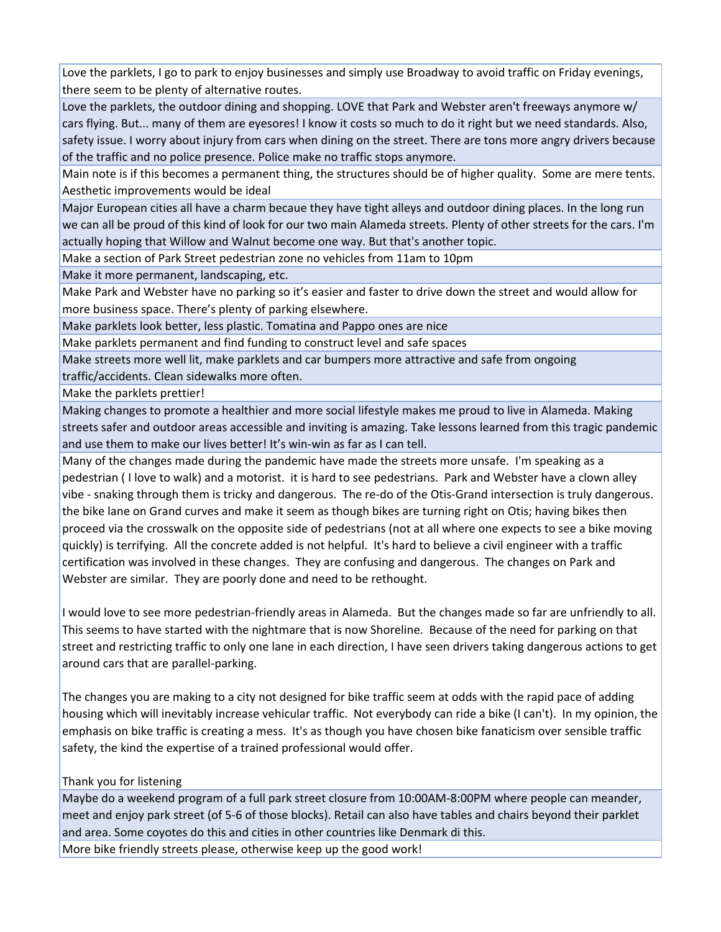Love the parklets, I go to park to enjoy businesses and simply use Broadway to avoid traffic on Friday evenings, there seem to be plenty of alternative routes.

Love the parklets, the outdoor dining and shopping. LOVE that Park and Webster aren't freeways anymore w/ cars flying. But... many of them are eyesores! I know it costs so much to do it right but we need standards. Also, safety issue. I worry about injury from cars when dining on the street. There are tons more angry drivers because of the traffic and no police presence. Police make no traffic stops anymore.

Main note is if this becomes a permanent thing, the structures should be of higher quality. Some are mere tents. Aesthetic improvements would be ideal

Major European cities all have a charm becaue they have tight alleys and outdoor dining places. In the long run we can all be proud of this kind of look for our two main Alameda streets. Plenty of other streets for the cars. I'm actually hoping that Willow and Walnut become one way. But that's another topic.

Make a section of Park Street pedestrian zone no vehicles from 11am to 10pm

Make it more permanent, landscaping, etc.

Make Park and Webster have no parking so it's easier and faster to drive down the street and would allow for more business space. There's plenty of parking elsewhere.

Make parklets look better, less plastic. Tomatina and Pappo ones are nice

Make parklets permanent and find funding to construct level and safe spaces

Make streets more well lit, make parklets and car bumpers more attractive and safe from ongoing traffic/accidents. Clean sidewalks more often.

Make the parklets prettier!

Making changes to promote a healthier and more social lifestyle makes me proud to live in Alameda. Making streets safer and outdoor areas accessible and inviting is amazing. Take lessons learned from this tragic pandemic and use them to make our lives better! It's win‐win as far as I can tell.

Many of the changes made during the pandemic have made the streets more unsafe. I'm speaking as a pedestrian ( I love to walk) and a motorist. it is hard to see pedestrians. Park and Webster have a clown alley vibe - snaking through them is tricky and dangerous. The re-do of the Otis-Grand intersection is truly dangerous. the bike lane on Grand curves and make it seem as though bikes are turning right on Otis; having bikes then proceed via the crosswalk on the opposite side of pedestrians (not at all where one expects to see a bike moving quickly) is terrifying. All the concrete added is not helpful. It's hard to believe a civil engineer with a traffic certification was involved in these changes. They are confusing and dangerous. The changes on Park and Webster are similar. They are poorly done and need to be rethought.

I would love to see more pedestrian‐friendly areas in Alameda. But the changes made so far are unfriendly to all. This seems to have started with the nightmare that is now Shoreline. Because of the need for parking on that street and restricting traffic to only one lane in each direction, I have seen drivers taking dangerous actions to get around cars that are parallel‐parking.

The changes you are making to a city not designed for bike traffic seem at odds with the rapid pace of adding housing which will inevitably increase vehicular traffic. Not everybody can ride a bike (I can't). In my opinion, the emphasis on bike traffic is creating a mess. It's as though you have chosen bike fanaticism over sensible traffic safety, the kind the expertise of a trained professional would offer.

## Thank you for listening

Maybe do a weekend program of a full park street closure from 10:00AM‐8:00PM where people can meander, meet and enjoy park street (of 5‐6 of those blocks). Retail can also have tables and chairs beyond their parklet and area. Some coyotes do this and cities in other countries like Denmark di this. More bike friendly streets please, otherwise keep up the good work!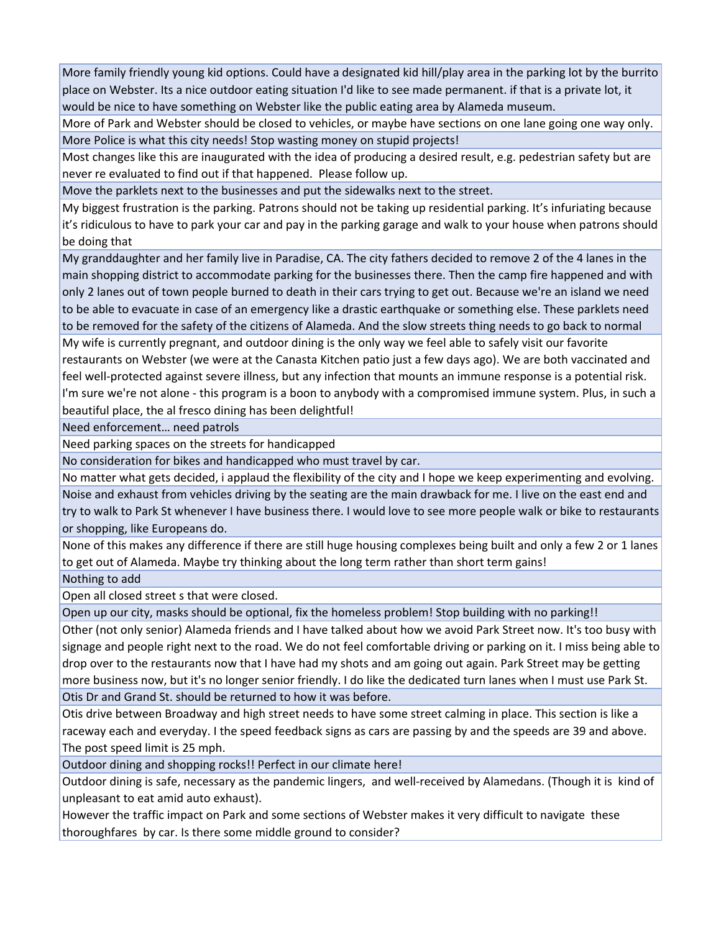More family friendly young kid options. Could have a designated kid hill/play area in the parking lot by the burrito place on Webster. Its a nice outdoor eating situation I'd like to see made permanent. if that is a private lot, it would be nice to have something on Webster like the public eating area by Alameda museum.

More of Park and Webster should be closed to vehicles, or maybe have sections on one lane going one way only. More Police is what this city needs! Stop wasting money on stupid projects!

Most changes like this are inaugurated with the idea of producing a desired result, e.g. pedestrian safety but are never re evaluated to find out if that happened. Please follow up.

Move the parklets next to the businesses and put the sidewalks next to the street.

My biggest frustration is the parking. Patrons should not be taking up residential parking. It's infuriating because it's ridiculous to have to park your car and pay in the parking garage and walk to your house when patrons should be doing that

My granddaughter and her family live in Paradise, CA. The city fathers decided to remove 2 of the 4 lanes in the main shopping district to accommodate parking for the businesses there. Then the camp fire happened and with only 2 lanes out of town people burned to death in their cars trying to get out. Because we're an island we need to be able to evacuate in case of an emergency like a drastic earthquake or something else. These parklets need to be removed for the safety of the citizens of Alameda. And the slow streets thing needs to go back to normal

My wife is currently pregnant, and outdoor dining is the only way we feel able to safely visit our favorite restaurants on Webster (we were at the Canasta Kitchen patio just a few days ago). We are both vaccinated and feel well‐protected against severe illness, but any infection that mounts an immune response is a potential risk. I'm sure we're not alone ‐ this program is a boon to anybody with a compromised immune system. Plus, in such a beautiful place, the al fresco dining has been delightful!

Need enforcement… need patrols

Need parking spaces on the streets for handicapped

No consideration for bikes and handicapped who must travel by car.

No matter what gets decided, i applaud the flexibility of the city and I hope we keep experimenting and evolving. Noise and exhaust from vehicles driving by the seating are the main drawback for me. I live on the east end and try to walk to Park St whenever I have business there. I would love to see more people walk or bike to restaurants or shopping, like Europeans do.

None of this makes any difference if there are still huge housing complexes being built and only a few 2 or 1 lanes to get out of Alameda. Maybe try thinking about the long term rather than short term gains!

Nothing to add

Open all closed street s that were closed.

Open up our city, masks should be optional, fix the homeless problem! Stop building with no parking!!

Other (not only senior) Alameda friends and I have talked about how we avoid Park Street now. It's too busy with signage and people right next to the road. We do not feel comfortable driving or parking on it. I miss being able to drop over to the restaurants now that I have had my shots and am going out again. Park Street may be getting more business now, but it's no longer senior friendly. I do like the dedicated turn lanes when I must use Park St. Otis Dr and Grand St. should be returned to how it was before.

Otis drive between Broadway and high street needs to have some street calming in place. This section is like a raceway each and everyday. I the speed feedback signs as cars are passing by and the speeds are 39 and above. The post speed limit is 25 mph.

Outdoor dining and shopping rocks!! Perfect in our climate here!

Outdoor dining is safe, necessary as the pandemic lingers, and well‐received by Alamedans. (Though it is kind of unpleasant to eat amid auto exhaust).

However the traffic impact on Park and some sections of Webster makes it very difficult to navigate these thoroughfares by car. Is there some middle ground to consider?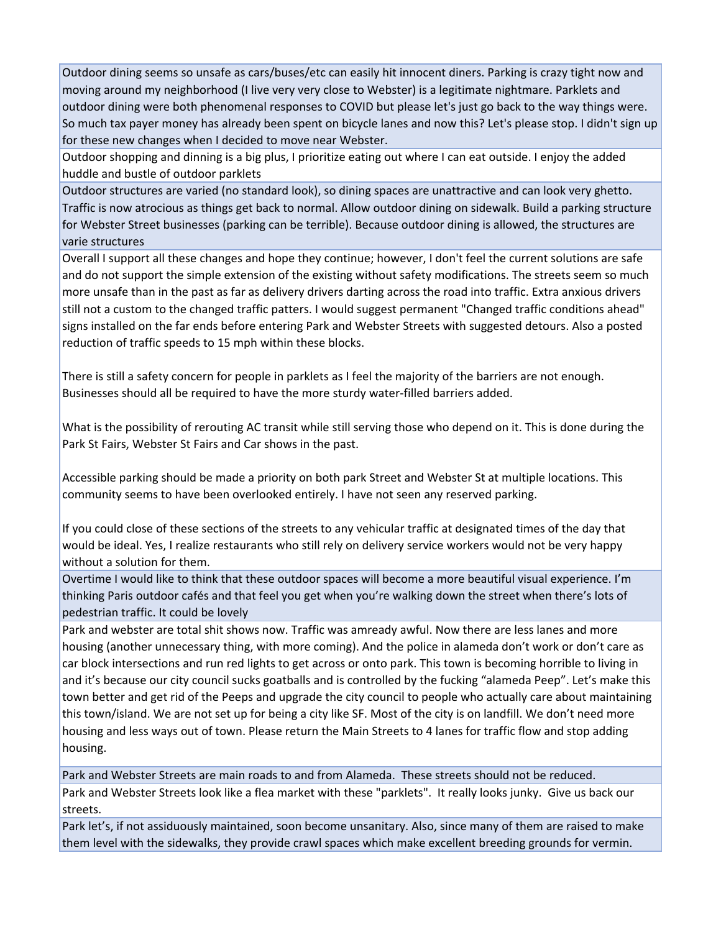Outdoor dining seems so unsafe as cars/buses/etc can easily hit innocent diners. Parking is crazy tight now and moving around my neighborhood (I live very very close to Webster) is a legitimate nightmare. Parklets and outdoor dining were both phenomenal responses to COVID but please let's just go back to the way things were. So much tax payer money has already been spent on bicycle lanes and now this? Let's please stop. I didn't sign up for these new changes when I decided to move near Webster.

Outdoor shopping and dinning is a big plus, I prioritize eating out where I can eat outside. I enjoy the added huddle and bustle of outdoor parklets

Outdoor structures are varied (no standard look), so dining spaces are unattractive and can look very ghetto. Traffic is now atrocious as things get back to normal. Allow outdoor dining on sidewalk. Build a parking structure for Webster Street businesses (parking can be terrible). Because outdoor dining is allowed, the structures are varie structures

Overall I support all these changes and hope they continue; however, I don't feel the current solutions are safe and do not support the simple extension of the existing without safety modifications. The streets seem so much more unsafe than in the past as far as delivery drivers darting across the road into traffic. Extra anxious drivers still not a custom to the changed traffic patters. I would suggest permanent "Changed traffic conditions ahead" signs installed on the far ends before entering Park and Webster Streets with suggested detours. Also a posted reduction of traffic speeds to 15 mph within these blocks.

There is still a safety concern for people in parklets as I feel the majority of the barriers are not enough. Businesses should all be required to have the more sturdy water‐filled barriers added.

What is the possibility of rerouting AC transit while still serving those who depend on it. This is done during the Park St Fairs, Webster St Fairs and Car shows in the past.

Accessible parking should be made a priority on both park Street and Webster St at multiple locations. This community seems to have been overlooked entirely. I have not seen any reserved parking.

If you could close of these sections of the streets to any vehicular traffic at designated times of the day that would be ideal. Yes, I realize restaurants who still rely on delivery service workers would not be very happy without a solution for them.

Overtime I would like to think that these outdoor spaces will become a more beautiful visual experience. I'm thinking Paris outdoor cafés and that feel you get when you're walking down the street when there's lots of pedestrian traffic. It could be lovely

Park and webster are total shit shows now. Traffic was amready awful. Now there are less lanes and more housing (another unnecessary thing, with more coming). And the police in alameda don't work or don't care as car block intersections and run red lights to get across or onto park. This town is becoming horrible to living in and it's because our city council sucks goatballs and is controlled by the fucking "alameda Peep". Let's make this town better and get rid of the Peeps and upgrade the city council to people who actually care about maintaining this town/island. We are not set up for being a city like SF. Most of the city is on landfill. We don't need more housing and less ways out of town. Please return the Main Streets to 4 lanes for traffic flow and stop adding housing.

Park and Webster Streets are main roads to and from Alameda. These streets should not be reduced. Park and Webster Streets look like a flea market with these "parklets". It really looks junky. Give us back our streets.

Park let's, if not assiduously maintained, soon become unsanitary. Also, since many of them are raised to make them level with the sidewalks, they provide crawl spaces which make excellent breeding grounds for vermin.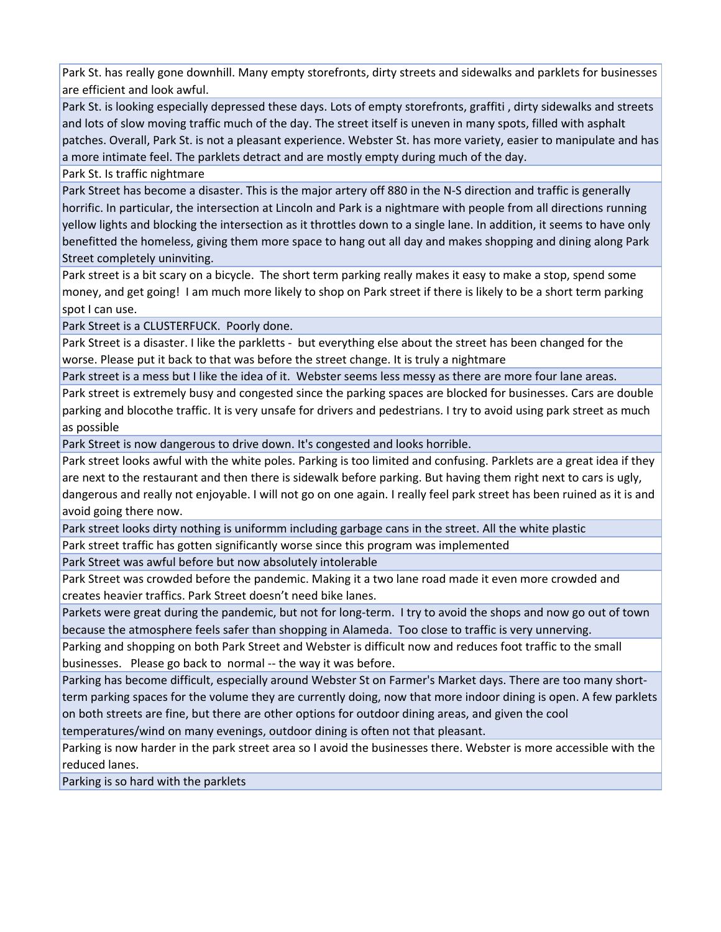Park St. has really gone downhill. Many empty storefronts, dirty streets and sidewalks and parklets for businesses are efficient and look awful.

Park St. is looking especially depressed these days. Lots of empty storefronts, graffiti , dirty sidewalks and streets and lots of slow moving traffic much of the day. The street itself is uneven in many spots, filled with asphalt patches. Overall, Park St. is not a pleasant experience. Webster St. has more variety, easier to manipulate and has a more intimate feel. The parklets detract and are mostly empty during much of the day.

Park St. Is traffic nightmare

Park Street has become a disaster. This is the major artery off 880 in the N‐S direction and traffic is generally horrific. In particular, the intersection at Lincoln and Park is a nightmare with people from all directions running yellow lights and blocking the intersection as it throttles down to a single lane. In addition, it seems to have only benefitted the homeless, giving them more space to hang out all day and makes shopping and dining along Park Street completely uninviting.

Park street is a bit scary on a bicycle. The short term parking really makes it easy to make a stop, spend some money, and get going! I am much more likely to shop on Park street if there is likely to be a short term parking spot I can use.

Park Street is a CLUSTERFUCK. Poorly done.

Park Street is a disaster. I like the parkletts - but everything else about the street has been changed for the worse. Please put it back to that was before the street change. It is truly a nightmare

Park street is a mess but I like the idea of it. Webster seems less messy as there are more four lane areas.

Park street is extremely busy and congested since the parking spaces are blocked for businesses. Cars are double parking and blocothe traffic. It is very unsafe for drivers and pedestrians. I try to avoid using park street as much as possible

Park Street is now dangerous to drive down. It's congested and looks horrible.

Park street looks awful with the white poles. Parking is too limited and confusing. Parklets are a great idea if they are next to the restaurant and then there is sidewalk before parking. But having them right next to cars is ugly, dangerous and really not enjoyable. I will not go on one again. I really feel park street has been ruined as it is and avoid going there now.

Park street looks dirty nothing is uniformm including garbage cans in the street. All the white plastic

Park street traffic has gotten significantly worse since this program was implemented

Park Street was awful before but now absolutely intolerable

Park Street was crowded before the pandemic. Making it a two lane road made it even more crowded and creates heavier traffics. Park Street doesn't need bike lanes.

Parkets were great during the pandemic, but not for long‐term. I try to avoid the shops and now go out of town because the atmosphere feels safer than shopping in Alameda. Too close to traffic is very unnerving.

Parking and shopping on both Park Street and Webster is difficult now and reduces foot traffic to the small businesses. Please go back to normal ‐‐ the way it was before.

Parking has become difficult, especially around Webster St on Farmer's Market days. There are too many short‐ term parking spaces for the volume they are currently doing, now that more indoor dining is open. A few parklets on both streets are fine, but there are other options for outdoor dining areas, and given the cool

temperatures/wind on many evenings, outdoor dining is often not that pleasant.

Parking is now harder in the park street area so I avoid the businesses there. Webster is more accessible with the reduced lanes.

Parking is so hard with the parklets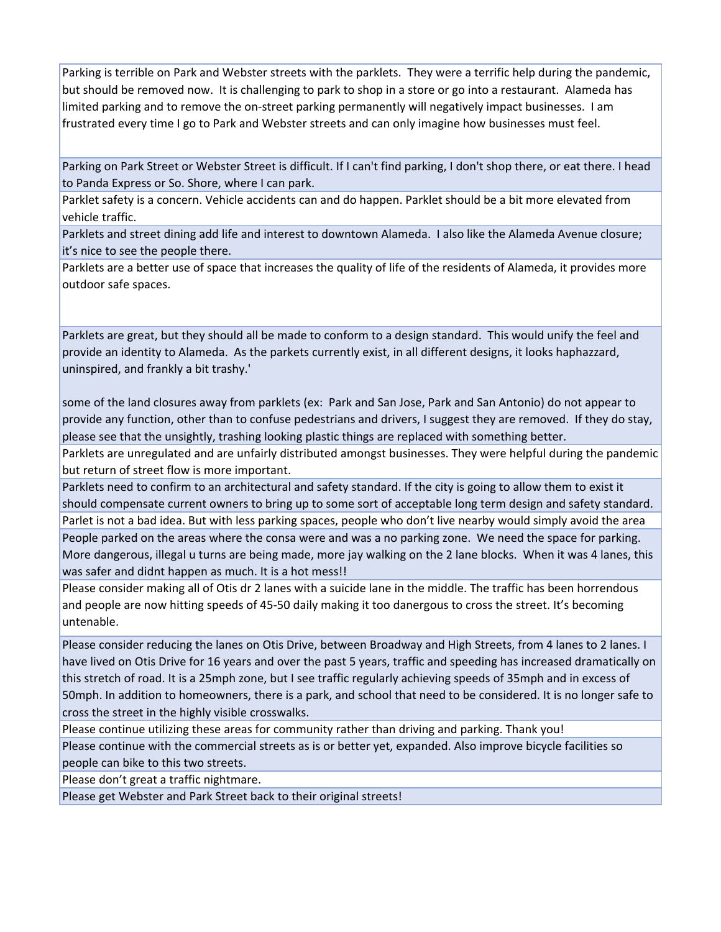Parking is terrible on Park and Webster streets with the parklets. They were a terrific help during the pandemic, but should be removed now. It is challenging to park to shop in a store or go into a restaurant. Alameda has limited parking and to remove the on‐street parking permanently will negatively impact businesses. I am frustrated every time I go to Park and Webster streets and can only imagine how businesses must feel.

Parking on Park Street or Webster Street is difficult. If I can't find parking, I don't shop there, or eat there. I head to Panda Express or So. Shore, where I can park.

Parklet safety is a concern. Vehicle accidents can and do happen. Parklet should be a bit more elevated from vehicle traffic.

Parklets and street dining add life and interest to downtown Alameda. I also like the Alameda Avenue closure; it's nice to see the people there.

Parklets are a better use of space that increases the quality of life of the residents of Alameda, it provides more outdoor safe spaces.

Parklets are great, but they should all be made to conform to a design standard. This would unify the feel and provide an identity to Alameda. As the parkets currently exist, in all different designs, it looks haphazzard, uninspired, and frankly a bit trashy.'

some of the land closures away from parklets (ex: Park and San Jose, Park and San Antonio) do not appear to provide any function, other than to confuse pedestrians and drivers, I suggest they are removed. If they do stay, please see that the unsightly, trashing looking plastic things are replaced with something better.

Parklets are unregulated and are unfairly distributed amongst businesses. They were helpful during the pandemic but return of street flow is more important.

Parklets need to confirm to an architectural and safety standard. If the city is going to allow them to exist it should compensate current owners to bring up to some sort of acceptable long term design and safety standard. Parlet is not a bad idea. But with less parking spaces, people who don't live nearby would simply avoid the area People parked on the areas where the consa were and was a no parking zone. We need the space for parking. More dangerous, illegal u turns are being made, more jay walking on the 2 lane blocks. When it was 4 lanes, this was safer and didnt happen as much. It is a hot mess!!

Please consider making all of Otis dr 2 lanes with a suicide lane in the middle. The traffic has been horrendous and people are now hitting speeds of 45‐50 daily making it too danergous to cross the street. It's becoming untenable.

Please consider reducing the lanes on Otis Drive, between Broadway and High Streets, from 4 lanes to 2 lanes. I have lived on Otis Drive for 16 years and over the past 5 years, traffic and speeding has increased dramatically on this stretch of road. It is a 25mph zone, but I see traffic regularly achieving speeds of 35mph and in excess of 50mph. In addition to homeowners, there is a park, and school that need to be considered. It is no longer safe to cross the street in the highly visible crosswalks.

Please continue utilizing these areas for community rather than driving and parking. Thank you! Please continue with the commercial streets as is or better yet, expanded. Also improve bicycle facilities so people can bike to this two streets.

Please don't great a traffic nightmare.

Please get Webster and Park Street back to their original streets!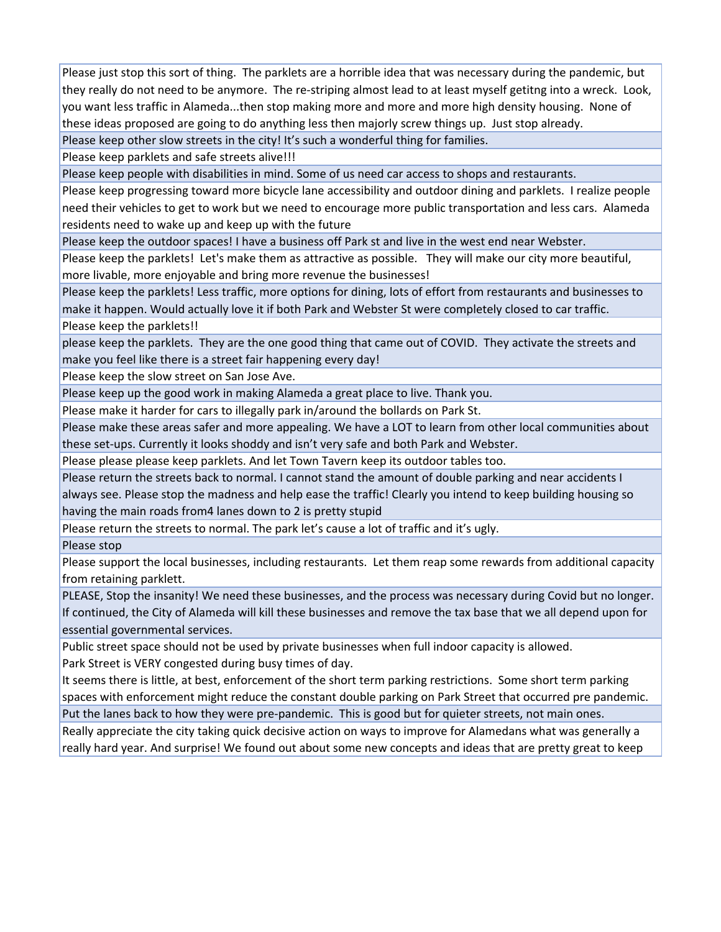Please just stop this sort of thing. The parklets are a horrible idea that was necessary during the pandemic, but they really do not need to be anymore. The re‐striping almost lead to at least myself getitng into a wreck. Look, you want less traffic in Alameda...then stop making more and more and more high density housing. None of these ideas proposed are going to do anything less then majorly screw things up. Just stop already.

Please keep other slow streets in the city! It's such a wonderful thing for families.

Please keep parklets and safe streets alive!!!

Please keep people with disabilities in mind. Some of us need car access to shops and restaurants.

Please keep progressing toward more bicycle lane accessibility and outdoor dining and parklets. I realize people need their vehicles to get to work but we need to encourage more public transportation and less cars. Alameda residents need to wake up and keep up with the future

Please keep the outdoor spaces! I have a business off Park st and live in the west end near Webster.

Please keep the parklets! Let's make them as attractive as possible. They will make our city more beautiful, more livable, more enjoyable and bring more revenue the businesses!

Please keep the parklets! Less traffic, more options for dining, lots of effort from restaurants and businesses to make it happen. Would actually love it if both Park and Webster St were completely closed to car traffic. Please keep the parklets!!

please keep the parklets. They are the one good thing that came out of COVID. They activate the streets and make you feel like there is a street fair happening every day!

Please keep the slow street on San Jose Ave.

Please keep up the good work in making Alameda a great place to live. Thank you.

Please make it harder for cars to illegally park in/around the bollards on Park St.

Please make these areas safer and more appealing. We have a LOT to learn from other local communities about these set-ups. Currently it looks shoddy and isn't very safe and both Park and Webster.

Please please please keep parklets. And let Town Tavern keep its outdoor tables too.

Please return the streets back to normal. I cannot stand the amount of double parking and near accidents I always see. Please stop the madness and help ease the traffic! Clearly you intend to keep building housing so having the main roads from4 lanes down to 2 is pretty stupid

Please return the streets to normal. The park let's cause a lot of traffic and it's ugly.

Please stop

Please support the local businesses, including restaurants. Let them reap some rewards from additional capacity from retaining parklett.

PLEASE, Stop the insanity! We need these businesses, and the process was necessary during Covid but no longer. If continued, the City of Alameda will kill these businesses and remove the tax base that we all depend upon for essential governmental services.

Public street space should not be used by private businesses when full indoor capacity is allowed. Park Street is VERY congested during busy times of day.

It seems there is little, at best, enforcement of the short term parking restrictions. Some short term parking spaces with enforcement might reduce the constant double parking on Park Street that occurred pre pandemic.

Put the lanes back to how they were pre‐pandemic. This is good but for quieter streets, not main ones. Really appreciate the city taking quick decisive action on ways to improve for Alamedans what was generally a really hard year. And surprise! We found out about some new concepts and ideas that are pretty great to keep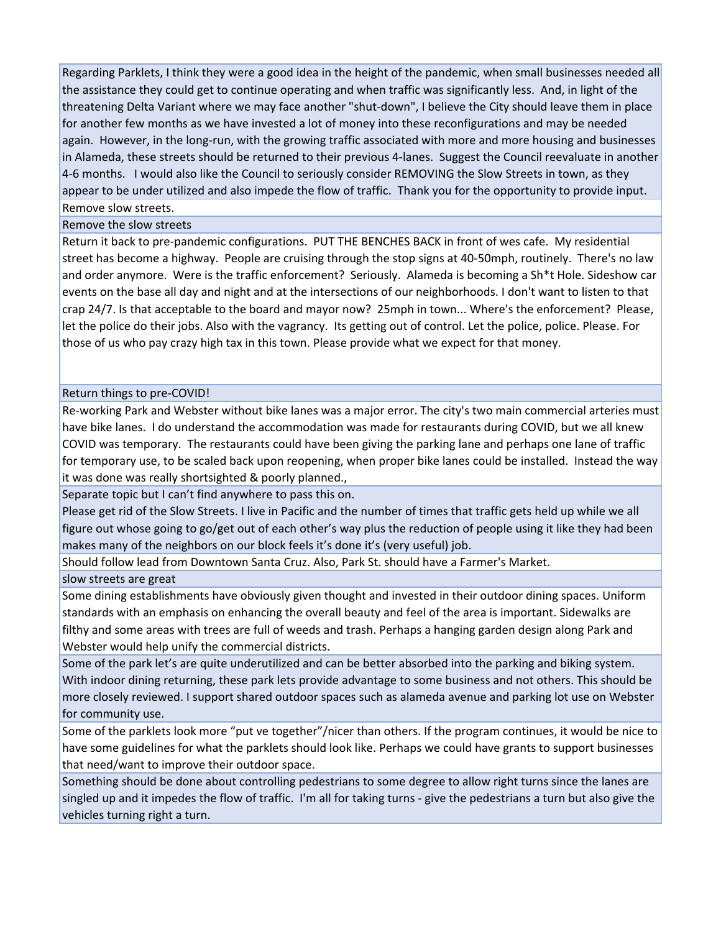Regarding Parklets, I think they were a good idea in the height of the pandemic, when small businesses needed all the assistance they could get to continue operating and when traffic was significantly less. And, in light of the threatening Delta Variant where we may face another "shut‐down", I believe the City should leave them in place for another few months as we have invested a lot of money into these reconfigurations and may be needed again. However, in the long‐run, with the growing traffic associated with more and more housing and businesses in Alameda, these streets should be returned to their previous 4‐lanes. Suggest the Council reevaluate in another 4‐6 months. I would also like the Council to seriously consider REMOVING the Slow Streets in town, as they appear to be under utilized and also impede the flow of traffic. Thank you for the opportunity to provide input. Remove slow streets.

## Remove the slow streets

Return it back to pre‐pandemic configurations. PUT THE BENCHES BACK in front of wes cafe. My residential street has become a highway. People are cruising through the stop signs at 40‐50mph, routinely. There's no law and order anymore. Were is the traffic enforcement? Seriously. Alameda is becoming a Sh\*t Hole. Sideshow car events on the base all day and night and at the intersections of our neighborhoods. I don't want to listen to that crap 24/7. Is that acceptable to the board and mayor now? 25mph in town... Where's the enforcement? Please, let the police do their jobs. Also with the vagrancy. Its getting out of control. Let the police, police. Please. For those of us who pay crazy high tax in this town. Please provide what we expect for that money.

## Return things to pre‐COVID!

Re-working Park and Webster without bike lanes was a major error. The city's two main commercial arteries must have bike lanes. I do understand the accommodation was made for restaurants during COVID, but we all knew COVID was temporary. The restaurants could have been giving the parking lane and perhaps one lane of traffic for temporary use, to be scaled back upon reopening, when proper bike lanes could be installed. Instead the way it was done was really shortsighted & poorly planned.,

Separate topic but I can't find anywhere to pass this on.

Please get rid of the Slow Streets. I live in Pacific and the number of times that traffic gets held up while we all figure out whose going to go/get out of each other's way plus the reduction of people using it like they had been makes many of the neighbors on our block feels it's done it's (very useful) job.

Should follow lead from Downtown Santa Cruz. Also, Park St. should have a Farmer's Market.

slow streets are great

Some dining establishments have obviously given thought and invested in their outdoor dining spaces. Uniform standards with an emphasis on enhancing the overall beauty and feel of the area is important. Sidewalks are filthy and some areas with trees are full of weeds and trash. Perhaps a hanging garden design along Park and Webster would help unify the commercial districts.

Some of the park let's are quite underutilized and can be better absorbed into the parking and biking system. With indoor dining returning, these park lets provide advantage to some business and not others. This should be more closely reviewed. I support shared outdoor spaces such as alameda avenue and parking lot use on Webster for community use.

Some of the parklets look more "put ve together"/nicer than others. If the program continues, it would be nice to have some guidelines for what the parklets should look like. Perhaps we could have grants to support businesses that need/want to improve their outdoor space.

Something should be done about controlling pedestrians to some degree to allow right turns since the lanes are singled up and it impedes the flow of traffic. I'm all for taking turns ‐ give the pedestrians a turn but also give the vehicles turning right a turn.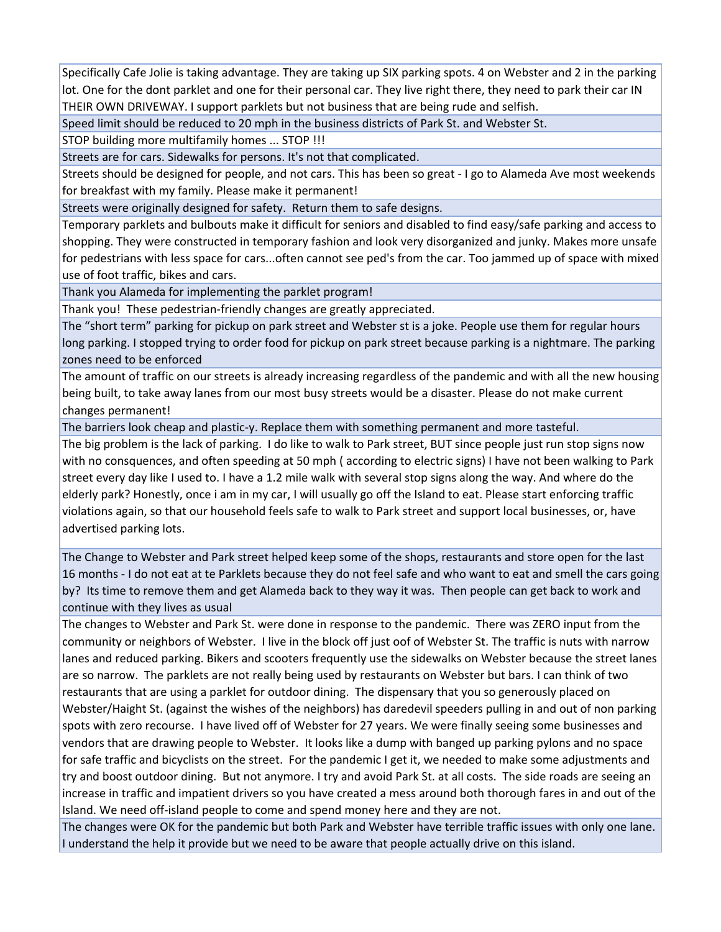Specifically Cafe Jolie is taking advantage. They are taking up SIX parking spots. 4 on Webster and 2 in the parking lot. One for the dont parklet and one for their personal car. They live right there, they need to park their car IN THEIR OWN DRIVEWAY. I support parklets but not business that are being rude and selfish.

Speed limit should be reduced to 20 mph in the business districts of Park St. and Webster St.

STOP building more multifamily homes ... STOP !!!

Streets are for cars. Sidewalks for persons. It's not that complicated.

Streets should be designed for people, and not cars. This has been so great ‐ I go to Alameda Ave most weekends for breakfast with my family. Please make it permanent!

Streets were originally designed for safety. Return them to safe designs.

Temporary parklets and bulbouts make it difficult for seniors and disabled to find easy/safe parking and access to shopping. They were constructed in temporary fashion and look very disorganized and junky. Makes more unsafe for pedestrians with less space for cars...often cannot see ped's from the car. Too jammed up of space with mixed use of foot traffic, bikes and cars.

Thank you Alameda for implementing the parklet program!

Thank you! These pedestrian‐friendly changes are greatly appreciated.

The "short term" parking for pickup on park street and Webster st is a joke. People use them for regular hours long parking. I stopped trying to order food for pickup on park street because parking is a nightmare. The parking zones need to be enforced

The amount of traffic on our streets is already increasing regardless of the pandemic and with all the new housing being built, to take away lanes from our most busy streets would be a disaster. Please do not make current changes permanent!

The barriers look cheap and plastic-y. Replace them with something permanent and more tasteful.

The big problem is the lack of parking. I do like to walk to Park street, BUT since people just run stop signs now with no consquences, and often speeding at 50 mph ( according to electric signs) I have not been walking to Park street every day like I used to. I have a 1.2 mile walk with several stop signs along the way. And where do the elderly park? Honestly, once i am in my car, I will usually go off the Island to eat. Please start enforcing traffic violations again, so that our household feels safe to walk to Park street and support local businesses, or, have advertised parking lots.

The Change to Webster and Park street helped keep some of the shops, restaurants and store open for the last 16 months ‐ I do not eat at te Parklets because they do not feel safe and who want to eat and smell the cars going by? Its time to remove them and get Alameda back to they way it was. Then people can get back to work and continue with they lives as usual

The changes to Webster and Park St. were done in response to the pandemic. There was ZERO input from the community or neighbors of Webster. I live in the block off just oof of Webster St. The traffic is nuts with narrow lanes and reduced parking. Bikers and scooters frequently use the sidewalks on Webster because the street lanes are so narrow. The parklets are not really being used by restaurants on Webster but bars. I can think of two restaurants that are using a parklet for outdoor dining. The dispensary that you so generously placed on Webster/Haight St. (against the wishes of the neighbors) has daredevil speeders pulling in and out of non parking spots with zero recourse. I have lived off of Webster for 27 years. We were finally seeing some businesses and vendors that are drawing people to Webster. It looks like a dump with banged up parking pylons and no space for safe traffic and bicyclists on the street. For the pandemic I get it, we needed to make some adjustments and try and boost outdoor dining. But not anymore. I try and avoid Park St. at all costs. The side roads are seeing an increase in traffic and impatient drivers so you have created a mess around both thorough fares in and out of the Island. We need off‐island people to come and spend money here and they are not.

The changes were OK for the pandemic but both Park and Webster have terrible traffic issues with only one lane. I understand the help it provide but we need to be aware that people actually drive on this island.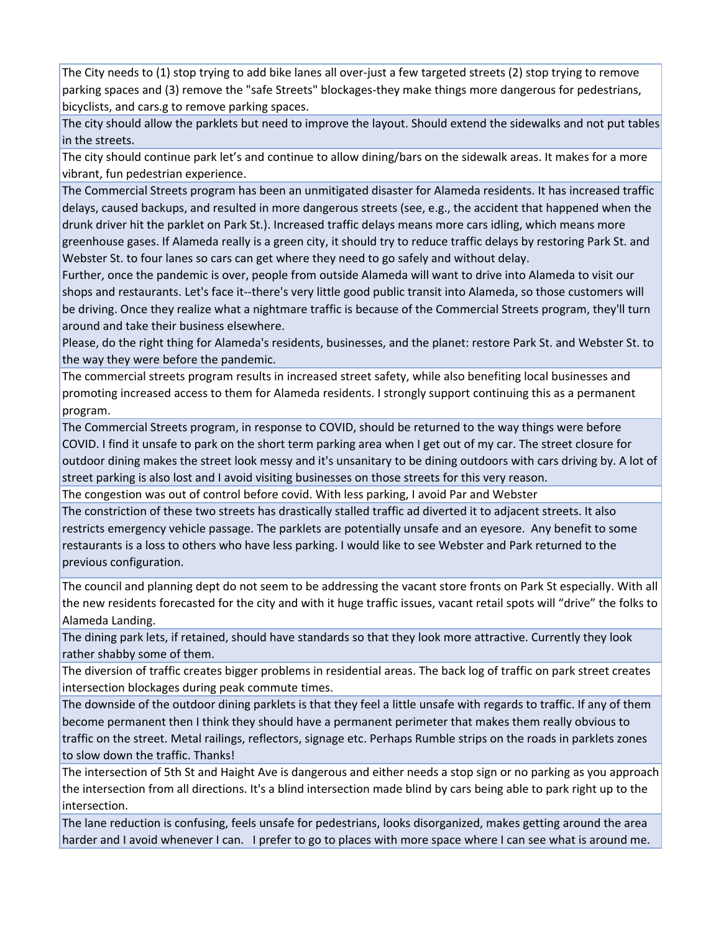The City needs to (1) stop trying to add bike lanes all over‐just a few targeted streets (2) stop trying to remove parking spaces and (3) remove the "safe Streets" blockages-they make things more dangerous for pedestrians, bicyclists, and cars.g to remove parking spaces.

The city should allow the parklets but need to improve the layout. Should extend the sidewalks and not put tables in the streets.

The city should continue park let's and continue to allow dining/bars on the sidewalk areas. It makes for a more vibrant, fun pedestrian experience.

The Commercial Streets program has been an unmitigated disaster for Alameda residents. It has increased traffic delays, caused backups, and resulted in more dangerous streets (see, e.g., the accident that happened when the drunk driver hit the parklet on Park St.). Increased traffic delays means more cars idling, which means more greenhouse gases. If Alameda really is a green city, it should try to reduce traffic delays by restoring Park St. and Webster St. to four lanes so cars can get where they need to go safely and without delay.

Further, once the pandemic is over, people from outside Alameda will want to drive into Alameda to visit our shops and restaurants. Let's face it‐‐there's very little good public transit into Alameda, so those customers will be driving. Once they realize what a nightmare traffic is because of the Commercial Streets program, they'll turn around and take their business elsewhere.

Please, do the right thing for Alameda's residents, businesses, and the planet: restore Park St. and Webster St. to the way they were before the pandemic.

The commercial streets program results in increased street safety, while also benefiting local businesses and promoting increased access to them for Alameda residents. I strongly support continuing this as a permanent program.

The Commercial Streets program, in response to COVID, should be returned to the way things were before COVID. I find it unsafe to park on the short term parking area when I get out of my car. The street closure for outdoor dining makes the street look messy and it's unsanitary to be dining outdoors with cars driving by. A lot of street parking is also lost and I avoid visiting businesses on those streets for this very reason.

The congestion was out of control before covid. With less parking, I avoid Par and Webster

The constriction of these two streets has drastically stalled traffic ad diverted it to adjacent streets. It also restricts emergency vehicle passage. The parklets are potentially unsafe and an eyesore. Any benefit to some restaurants is a loss to others who have less parking. I would like to see Webster and Park returned to the previous configuration.

The council and planning dept do not seem to be addressing the vacant store fronts on Park St especially. With all the new residents forecasted for the city and with it huge traffic issues, vacant retail spots will "drive" the folks to Alameda Landing.

The dining park lets, if retained, should have standards so that they look more attractive. Currently they look rather shabby some of them.

The diversion of traffic creates bigger problems in residential areas. The back log of traffic on park street creates intersection blockages during peak commute times.

The downside of the outdoor dining parklets is that they feel a little unsafe with regards to traffic. If any of them become permanent then I think they should have a permanent perimeter that makes them really obvious to traffic on the street. Metal railings, reflectors, signage etc. Perhaps Rumble strips on the roads in parklets zones to slow down the traffic. Thanks!

The intersection of 5th St and Haight Ave is dangerous and either needs a stop sign or no parking as you approach the intersection from all directions. It's a blind intersection made blind by cars being able to park right up to the intersection.

The lane reduction is confusing, feels unsafe for pedestrians, looks disorganized, makes getting around the area harder and I avoid whenever I can. I prefer to go to places with more space where I can see what is around me.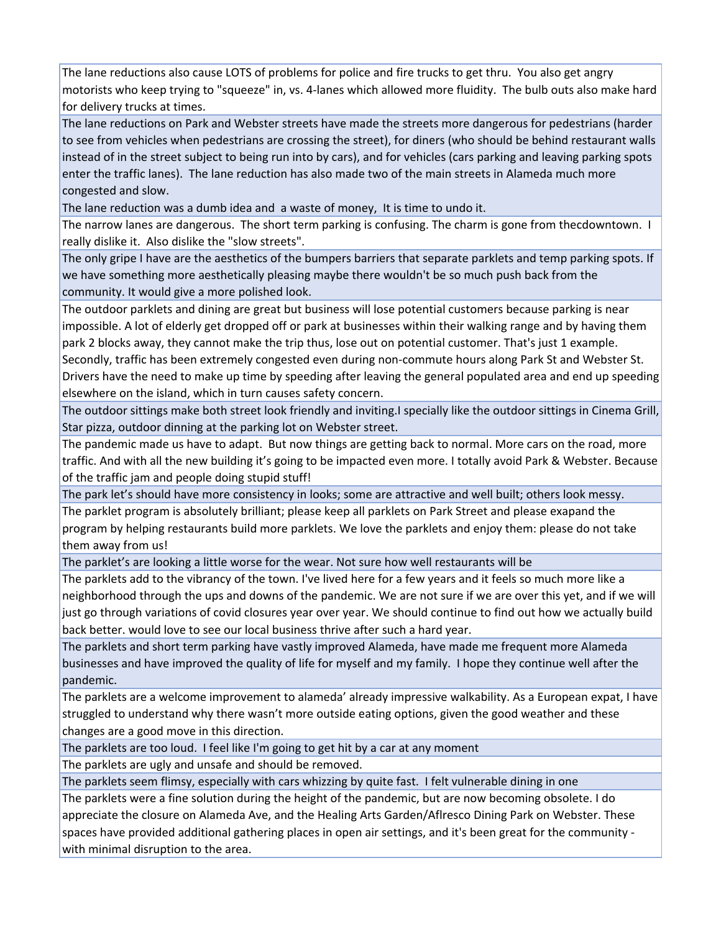The lane reductions also cause LOTS of problems for police and fire trucks to get thru. You also get angry motorists who keep trying to "squeeze" in, vs. 4‐lanes which allowed more fluidity. The bulb outs also make hard for delivery trucks at times.

The lane reductions on Park and Webster streets have made the streets more dangerous for pedestrians (harder to see from vehicles when pedestrians are crossing the street), for diners (who should be behind restaurant walls instead of in the street subject to being run into by cars), and for vehicles (cars parking and leaving parking spots enter the traffic lanes). The lane reduction has also made two of the main streets in Alameda much more congested and slow.

The lane reduction was a dumb idea and a waste of money, It is time to undo it.

The narrow lanes are dangerous. The short term parking is confusing. The charm is gone from thecdowntown. I really dislike it. Also dislike the "slow streets".

The only gripe I have are the aesthetics of the bumpers barriers that separate parklets and temp parking spots. If we have something more aesthetically pleasing maybe there wouldn't be so much push back from the community. It would give a more polished look.

The outdoor parklets and dining are great but business will lose potential customers because parking is near impossible. A lot of elderly get dropped off or park at businesses within their walking range and by having them park 2 blocks away, they cannot make the trip thus, lose out on potential customer. That's just 1 example. Secondly, traffic has been extremely congested even during non‐commute hours along Park St and Webster St. Drivers have the need to make up time by speeding after leaving the general populated area and end up speeding elsewhere on the island, which in turn causes safety concern.

The outdoor sittings make both street look friendly and inviting.I specially like the outdoor sittings in Cinema Grill, Star pizza, outdoor dinning at the parking lot on Webster street.

The pandemic made us have to adapt. But now things are getting back to normal. More cars on the road, more traffic. And with all the new building it's going to be impacted even more. I totally avoid Park & Webster. Because of the traffic jam and people doing stupid stuff!

The park let's should have more consistency in looks; some are attractive and well built; others look messy. The parklet program is absolutely brilliant; please keep all parklets on Park Street and please exapand the program by helping restaurants build more parklets. We love the parklets and enjoy them: please do not take them away from us!

The parklet's are looking a little worse for the wear. Not sure how well restaurants will be The parklets add to the vibrancy of the town. I've lived here for a few years and it feels so much more like a neighborhood through the ups and downs of the pandemic. We are not sure if we are over this yet, and if we will just go through variations of covid closures year over year. We should continue to find out how we actually build back better. would love to see our local business thrive after such a hard year.

The parklets and short term parking have vastly improved Alameda, have made me frequent more Alameda businesses and have improved the quality of life for myself and my family. I hope they continue well after the pandemic.

The parklets are a welcome improvement to alameda' already impressive walkability. As a European expat, I have struggled to understand why there wasn't more outside eating options, given the good weather and these changes are a good move in this direction.

The parklets are too loud. I feel like I'm going to get hit by a car at any moment

The parklets are ugly and unsafe and should be removed.

The parklets seem flimsy, especially with cars whizzing by quite fast. I felt vulnerable dining in one

The parklets were a fine solution during the height of the pandemic, but are now becoming obsolete. I do appreciate the closure on Alameda Ave, and the Healing Arts Garden/Aflresco Dining Park on Webster. These spaces have provided additional gathering places in open air settings, and it's been great for the community ‐ with minimal disruption to the area.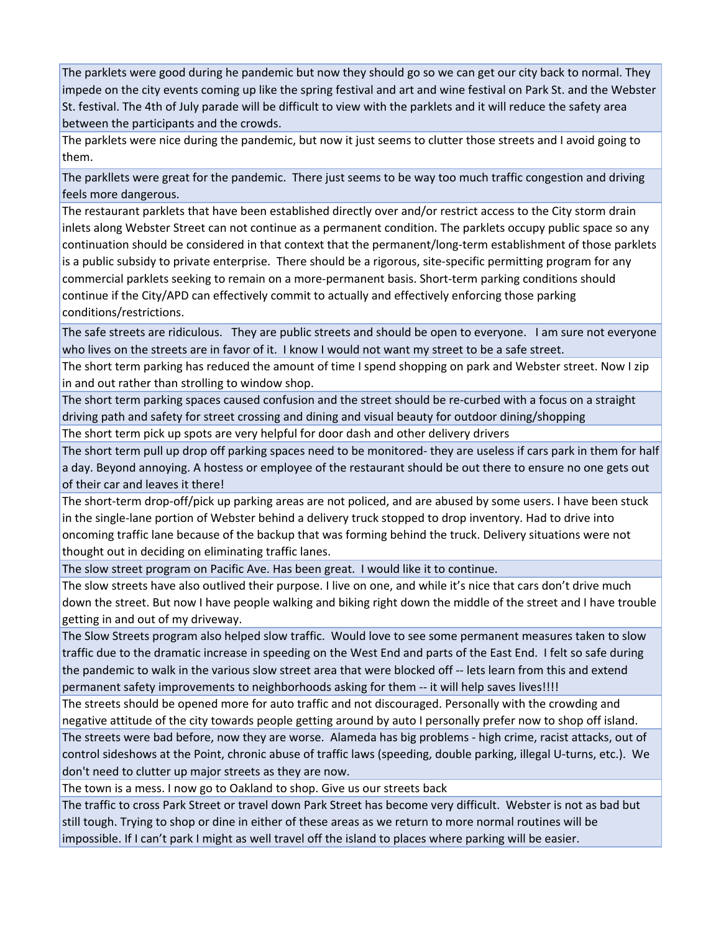The parklets were good during he pandemic but now they should go so we can get our city back to normal. They impede on the city events coming up like the spring festival and art and wine festival on Park St. and the Webster St. festival. The 4th of July parade will be difficult to view with the parklets and it will reduce the safety area between the participants and the crowds.

The parklets were nice during the pandemic, but now it just seems to clutter those streets and I avoid going to them.

The parkllets were great for the pandemic. There just seems to be way too much traffic congestion and driving feels more dangerous.

The restaurant parklets that have been established directly over and/or restrict access to the City storm drain inlets along Webster Street can not continue as a permanent condition. The parklets occupy public space so any continuation should be considered in that context that the permanent/long‐term establishment of those parklets is a public subsidy to private enterprise. There should be a rigorous, site‐specific permitting program for any commercial parklets seeking to remain on a more‐permanent basis. Short‐term parking conditions should continue if the City/APD can effectively commit to actually and effectively enforcing those parking conditions/restrictions.

The safe streets are ridiculous. They are public streets and should be open to everyone. I am sure not everyone who lives on the streets are in favor of it. I know I would not want my street to be a safe street.

The short term parking has reduced the amount of time I spend shopping on park and Webster street. Now I zip in and out rather than strolling to window shop.

The short term parking spaces caused confusion and the street should be re‐curbed with a focus on a straight driving path and safety for street crossing and dining and visual beauty for outdoor dining/shopping

The short term pick up spots are very helpful for door dash and other delivery drivers

The short term pull up drop off parking spaces need to be monitored- they are useless if cars park in them for half a day. Beyond annoying. A hostess or employee of the restaurant should be out there to ensure no one gets out of their car and leaves it there!

The short-term drop-off/pick up parking areas are not policed, and are abused by some users. I have been stuck in the single‐lane portion of Webster behind a delivery truck stopped to drop inventory. Had to drive into oncoming traffic lane because of the backup that was forming behind the truck. Delivery situations were not thought out in deciding on eliminating traffic lanes.

The slow street program on Pacific Ave. Has been great. I would like it to continue.

The slow streets have also outlived their purpose. I live on one, and while it's nice that cars don't drive much down the street. But now I have people walking and biking right down the middle of the street and I have trouble getting in and out of my driveway.

The Slow Streets program also helped slow traffic. Would love to see some permanent measures taken to slow traffic due to the dramatic increase in speeding on the West End and parts of the East End. I felt so safe during the pandemic to walk in the various slow street area that were blocked off ‐‐ lets learn from this and extend permanent safety improvements to neighborhoods asking for them ‐‐ it will help saves lives!!!!

The streets should be opened more for auto traffic and not discouraged. Personally with the crowding and negative attitude of the city towards people getting around by auto I personally prefer now to shop off island.

The streets were bad before, now they are worse. Alameda has big problems ‐ high crime, racist attacks, out of control sideshows at the Point, chronic abuse of traffic laws (speeding, double parking, illegal U‐turns, etc.). We don't need to clutter up major streets as they are now.

The town is a mess. I now go to Oakland to shop. Give us our streets back

The traffic to cross Park Street or travel down Park Street has become very difficult. Webster is not as bad but still tough. Trying to shop or dine in either of these areas as we return to more normal routines will be impossible. If I can't park I might as well travel off the island to places where parking will be easier.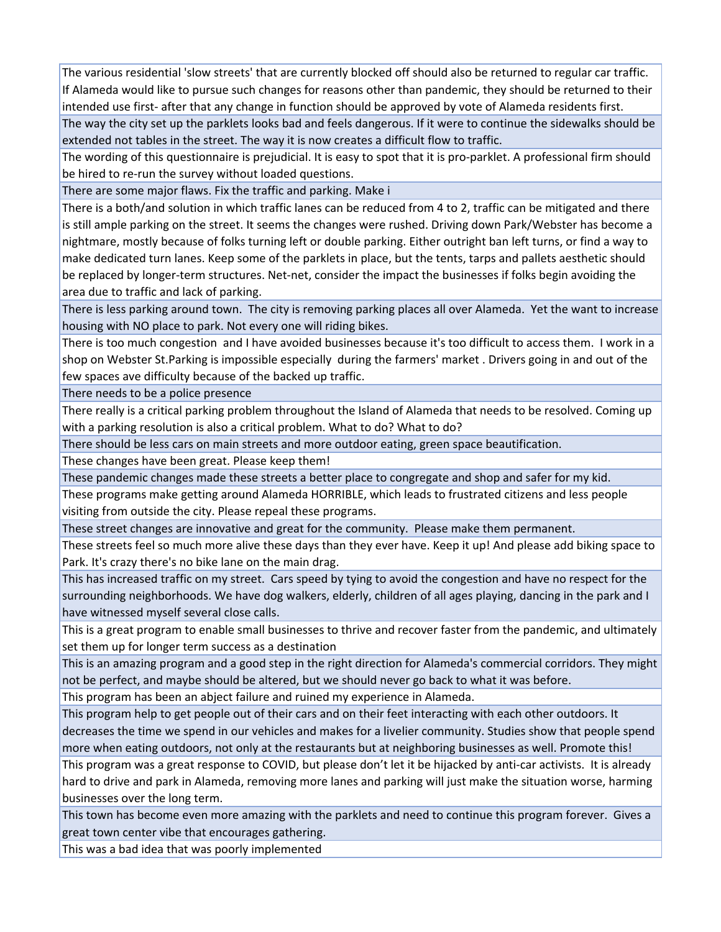The various residential 'slow streets' that are currently blocked off should also be returned to regular car traffic. If Alameda would like to pursue such changes for reasons other than pandemic, they should be returned to their intended use first‐ after that any change in function should be approved by vote of Alameda residents first.

The way the city set up the parklets looks bad and feels dangerous. If it were to continue the sidewalks should be extended not tables in the street. The way it is now creates a difficult flow to traffic.

The wording of this questionnaire is prejudicial. It is easy to spot that it is pro‐parklet. A professional firm should be hired to re-run the survey without loaded questions.

There are some major flaws. Fix the traffic and parking. Make i

There is a both/and solution in which traffic lanes can be reduced from 4 to 2, traffic can be mitigated and there is still ample parking on the street. It seems the changes were rushed. Driving down Park/Webster has become a nightmare, mostly because of folks turning left or double parking. Either outright ban left turns, or find a way to make dedicated turn lanes. Keep some of the parklets in place, but the tents, tarps and pallets aesthetic should be replaced by longer‐term structures. Net‐net, consider the impact the businesses if folks begin avoiding the area due to traffic and lack of parking.

There is less parking around town. The city is removing parking places all over Alameda. Yet the want to increase housing with NO place to park. Not every one will riding bikes.

There is too much congestion and I have avoided businesses because it's too difficult to access them. I work in a shop on Webster St.Parking is impossible especially during the farmers' market . Drivers going in and out of the few spaces ave difficulty because of the backed up traffic.

There needs to be a police presence

There really is a critical parking problem throughout the Island of Alameda that needs to be resolved. Coming up with a parking resolution is also a critical problem. What to do? What to do?

There should be less cars on main streets and more outdoor eating, green space beautification.

These changes have been great. Please keep them!

These pandemic changes made these streets a better place to congregate and shop and safer for my kid.

These programs make getting around Alameda HORRIBLE, which leads to frustrated citizens and less people visiting from outside the city. Please repeal these programs.

These street changes are innovative and great for the community. Please make them permanent.

These streets feel so much more alive these days than they ever have. Keep it up! And please add biking space to Park. It's crazy there's no bike lane on the main drag.

This has increased traffic on my street. Cars speed by tying to avoid the congestion and have no respect for the surrounding neighborhoods. We have dog walkers, elderly, children of all ages playing, dancing in the park and I have witnessed myself several close calls.

This is a great program to enable small businesses to thrive and recover faster from the pandemic, and ultimately set them up for longer term success as a destination

This is an amazing program and a good step in the right direction for Alameda's commercial corridors. They might not be perfect, and maybe should be altered, but we should never go back to what it was before.

This program has been an abject failure and ruined my experience in Alameda.

This program help to get people out of their cars and on their feet interacting with each other outdoors. It decreases the time we spend in our vehicles and makes for a livelier community. Studies show that people spend more when eating outdoors, not only at the restaurants but at neighboring businesses as well. Promote this!

This program was a great response to COVID, but please don't let it be hijacked by anti‐car activists. It is already hard to drive and park in Alameda, removing more lanes and parking will just make the situation worse, harming businesses over the long term.

This town has become even more amazing with the parklets and need to continue this program forever. Gives a great town center vibe that encourages gathering.

This was a bad idea that was poorly implemented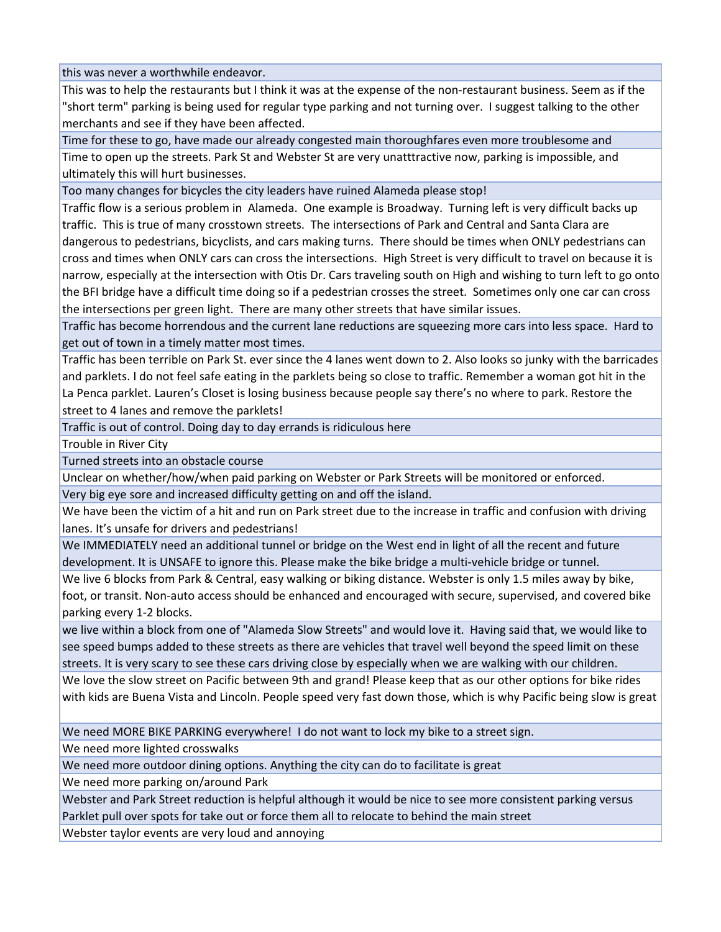this was never a worthwhile endeavor.

This was to help the restaurants but I think it was at the expense of the non‐restaurant business. Seem as if the "short term" parking is being used for regular type parking and not turning over. I suggest talking to the other merchants and see if they have been affected.

Time for these to go, have made our already congested main thoroughfares even more troublesome and Time to open up the streets. Park St and Webster St are very unatttractive now, parking is impossible, and ultimately this will hurt businesses.

Too many changes for bicycles the city leaders have ruined Alameda please stop!

Traffic flow is a serious problem in Alameda. One example is Broadway. Turning left is very difficult backs up traffic. This is true of many crosstown streets. The intersections of Park and Central and Santa Clara are dangerous to pedestrians, bicyclists, and cars making turns. There should be times when ONLY pedestrians can cross and times when ONLY cars can cross the intersections. High Street is very difficult to travel on because it is narrow, especially at the intersection with Otis Dr. Cars traveling south on High and wishing to turn left to go onto the BFI bridge have a difficult time doing so if a pedestrian crosses the street. Sometimes only one car can cross the intersections per green light. There are many other streets that have similar issues.

Traffic has become horrendous and the current lane reductions are squeezing more cars into less space. Hard to get out of town in a timely matter most times.

Traffic has been terrible on Park St. ever since the 4 lanes went down to 2. Also looks so junky with the barricades and parklets. I do not feel safe eating in the parklets being so close to traffic. Remember a woman got hit in the La Penca parklet. Lauren's Closet is losing business because people say there's no where to park. Restore the street to 4 lanes and remove the parklets!

Traffic is out of control. Doing day to day errands is ridiculous here

Trouble in River City

Turned streets into an obstacle course

Unclear on whether/how/when paid parking on Webster or Park Streets will be monitored or enforced. Very big eye sore and increased difficulty getting on and off the island.

We have been the victim of a hit and run on Park street due to the increase in traffic and confusion with driving lanes. It's unsafe for drivers and pedestrians!

We IMMEDIATELY need an additional tunnel or bridge on the West end in light of all the recent and future development. It is UNSAFE to ignore this. Please make the bike bridge a multi‐vehicle bridge or tunnel.

We live 6 blocks from Park & Central, easy walking or biking distance. Webster is only 1.5 miles away by bike, foot, or transit. Non‐auto access should be enhanced and encouraged with secure, supervised, and covered bike parking every 1‐2 blocks.

we live within a block from one of "Alameda Slow Streets" and would love it. Having said that, we would like to see speed bumps added to these streets as there are vehicles that travel well beyond the speed limit on these streets. It is very scary to see these cars driving close by especially when we are walking with our children.

We love the slow street on Pacific between 9th and grand! Please keep that as our other options for bike rides with kids are Buena Vista and Lincoln. People speed very fast down those, which is why Pacific being slow is great

We need MORE BIKE PARKING everywhere! I do not want to lock my bike to a street sign.

We need more lighted crosswalks

We need more outdoor dining options. Anything the city can do to facilitate is great

We need more parking on/around Park

Webster and Park Street reduction is helpful although it would be nice to see more consistent parking versus Parklet pull over spots for take out or force them all to relocate to behind the main street

Webster taylor events are very loud and annoying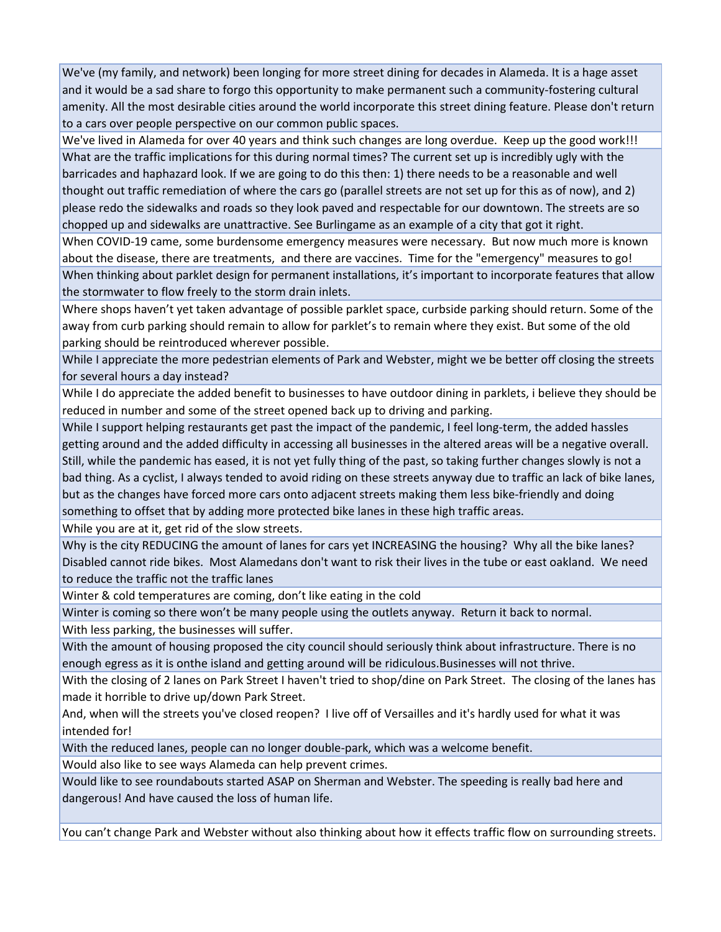We've (my family, and network) been longing for more street dining for decades in Alameda. It is a hage asset and it would be a sad share to forgo this opportunity to make permanent such a community‐fostering cultural amenity. All the most desirable cities around the world incorporate this street dining feature. Please don't return to a cars over people perspective on our common public spaces.

We've lived in Alameda for over 40 years and think such changes are long overdue. Keep up the good work!!! What are the traffic implications for this during normal times? The current set up is incredibly ugly with the barricades and haphazard look. If we are going to do this then: 1) there needs to be a reasonable and well thought out traffic remediation of where the cars go (parallel streets are not set up for this as of now), and 2) please redo the sidewalks and roads so they look paved and respectable for our downtown. The streets are so chopped up and sidewalks are unattractive. See Burlingame as an example of a city that got it right.

When COVID‐19 came, some burdensome emergency measures were necessary. But now much more is known about the disease, there are treatments, and there are vaccines. Time for the "emergency" measures to go! When thinking about parklet design for permanent installations, it's important to incorporate features that allow the stormwater to flow freely to the storm drain inlets.

Where shops haven't yet taken advantage of possible parklet space, curbside parking should return. Some of the away from curb parking should remain to allow for parklet's to remain where they exist. But some of the old parking should be reintroduced wherever possible.

While I appreciate the more pedestrian elements of Park and Webster, might we be better off closing the streets for several hours a day instead?

While I do appreciate the added benefit to businesses to have outdoor dining in parklets, i believe they should be reduced in number and some of the street opened back up to driving and parking.

While I support helping restaurants get past the impact of the pandemic, I feel long-term, the added hassles getting around and the added difficulty in accessing all businesses in the altered areas will be a negative overall. Still, while the pandemic has eased, it is not yet fully thing of the past, so taking further changes slowly is not a bad thing. As a cyclist, I always tended to avoid riding on these streets anyway due to traffic an lack of bike lanes, but as the changes have forced more cars onto adjacent streets making them less bike‐friendly and doing something to offset that by adding more protected bike lanes in these high traffic areas.

While you are at it, get rid of the slow streets.

Why is the city REDUCING the amount of lanes for cars yet INCREASING the housing? Why all the bike lanes? Disabled cannot ride bikes. Most Alamedans don't want to risk their lives in the tube or east oakland. We need to reduce the traffic not the traffic lanes

Winter & cold temperatures are coming, don't like eating in the cold

Winter is coming so there won't be many people using the outlets anyway. Return it back to normal.

With less parking, the businesses will suffer.

With the amount of housing proposed the city council should seriously think about infrastructure. There is no enough egress as it is onthe island and getting around will be ridiculous.Businesses will not thrive.

With the closing of 2 lanes on Park Street I haven't tried to shop/dine on Park Street. The closing of the lanes has made it horrible to drive up/down Park Street.

And, when will the streets you've closed reopen? I live off of Versailles and it's hardly used for what it was intended for!

With the reduced lanes, people can no longer double‐park, which was a welcome benefit.

Would also like to see ways Alameda can help prevent crimes.

Would like to see roundabouts started ASAP on Sherman and Webster. The speeding is really bad here and dangerous! And have caused the loss of human life.

You can't change Park and Webster without also thinking about how it effects traffic flow on surrounding streets.